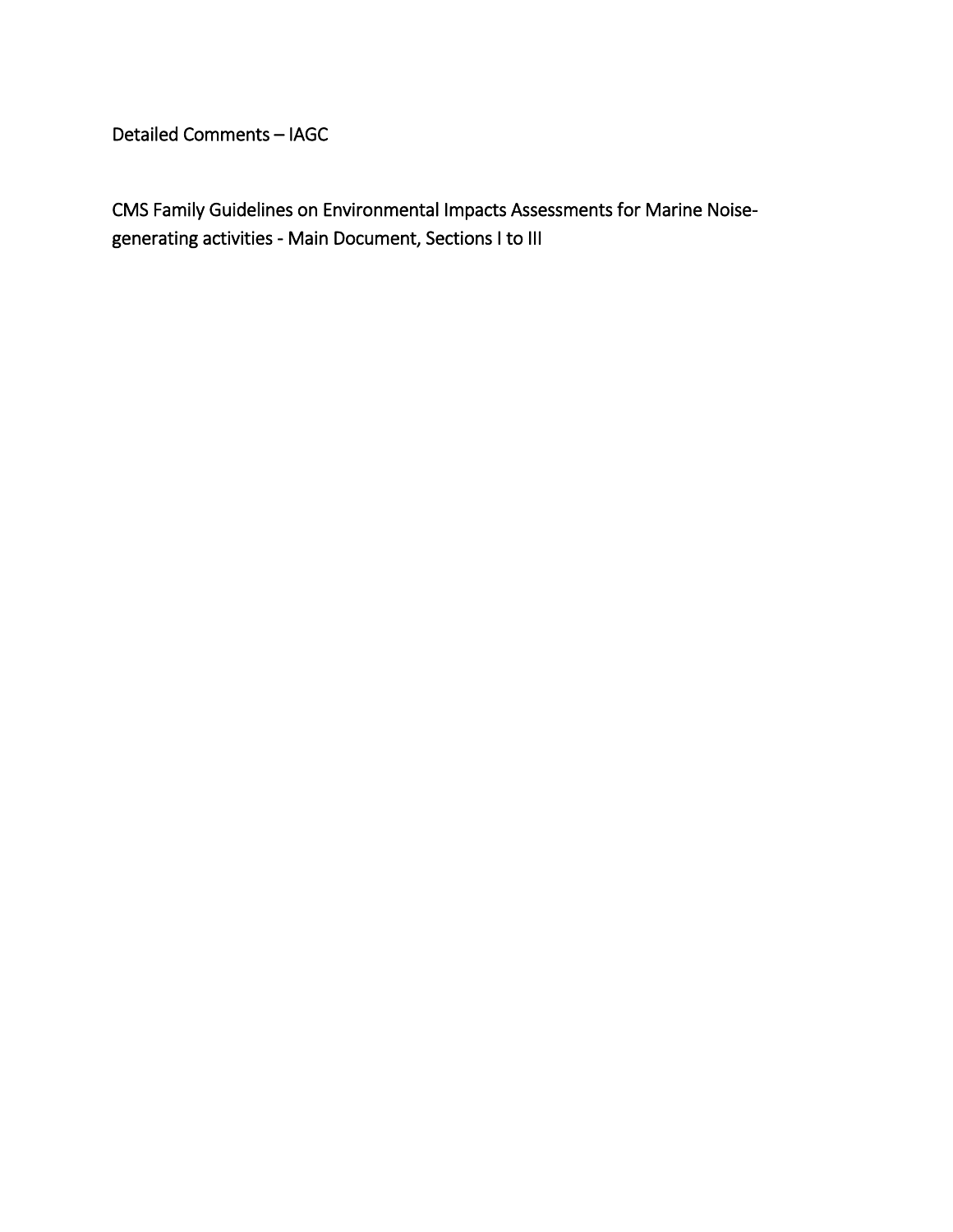Detailed Comments – IAGC

CMS Family Guidelines on Environmental Impacts Assessments for Marine Noisegenerating activities - Main Document, Sections I to III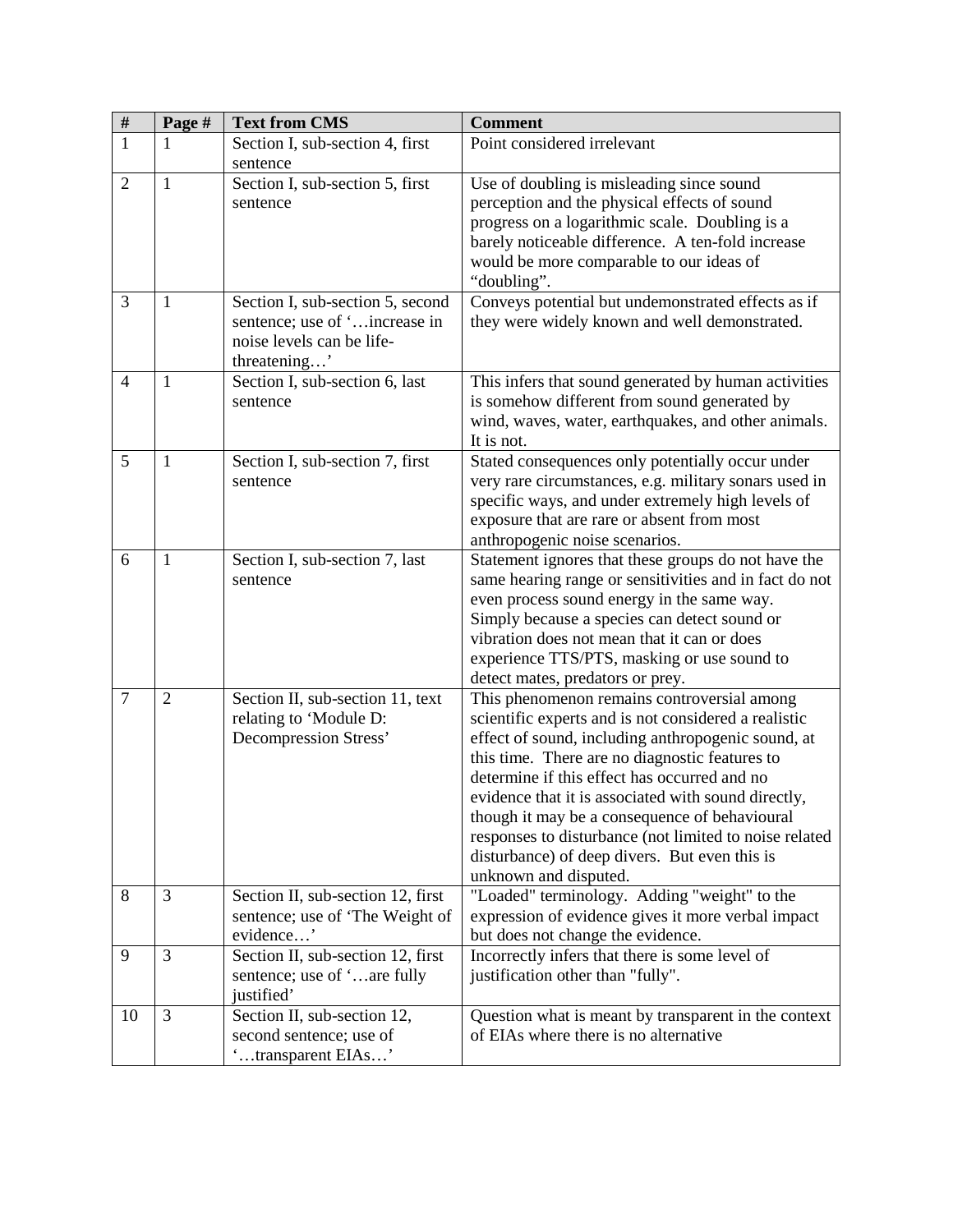| $\overline{\#}$ | Page #         | <b>Text from CMS</b>                                                                                           | <b>Comment</b>                                                                                                                                                                                                                                                                                                                                                                                                                                                                                          |
|-----------------|----------------|----------------------------------------------------------------------------------------------------------------|---------------------------------------------------------------------------------------------------------------------------------------------------------------------------------------------------------------------------------------------------------------------------------------------------------------------------------------------------------------------------------------------------------------------------------------------------------------------------------------------------------|
| $\overline{1}$  |                | Section I, sub-section 4, first<br>sentence                                                                    | Point considered irrelevant                                                                                                                                                                                                                                                                                                                                                                                                                                                                             |
| $\overline{2}$  | $\mathbf{1}$   | Section I, sub-section 5, first<br>sentence                                                                    | Use of doubling is misleading since sound<br>perception and the physical effects of sound<br>progress on a logarithmic scale. Doubling is a<br>barely noticeable difference. A ten-fold increase<br>would be more comparable to our ideas of<br>"doubling".                                                                                                                                                                                                                                             |
| 3               | $\mathbf{1}$   | Section I, sub-section 5, second<br>sentence; use of 'increase in<br>noise levels can be life-<br>threatening' | Conveys potential but undemonstrated effects as if<br>they were widely known and well demonstrated.                                                                                                                                                                                                                                                                                                                                                                                                     |
| $\overline{4}$  | $\mathbf{1}$   | Section I, sub-section 6, last<br>sentence                                                                     | This infers that sound generated by human activities<br>is somehow different from sound generated by<br>wind, waves, water, earthquakes, and other animals.<br>It is not.                                                                                                                                                                                                                                                                                                                               |
| 5               | 1              | Section I, sub-section 7, first<br>sentence                                                                    | Stated consequences only potentially occur under<br>very rare circumstances, e.g. military sonars used in<br>specific ways, and under extremely high levels of<br>exposure that are rare or absent from most<br>anthropogenic noise scenarios.                                                                                                                                                                                                                                                          |
| 6               | 1              | Section I, sub-section 7, last<br>sentence                                                                     | Statement ignores that these groups do not have the<br>same hearing range or sensitivities and in fact do not<br>even process sound energy in the same way.<br>Simply because a species can detect sound or<br>vibration does not mean that it can or does<br>experience TTS/PTS, masking or use sound to<br>detect mates, predators or prey.                                                                                                                                                           |
| $\overline{7}$  | $\overline{2}$ | Section II, sub-section 11, text<br>relating to 'Module D:<br>Decompression Stress'                            | This phenomenon remains controversial among<br>scientific experts and is not considered a realistic<br>effect of sound, including anthropogenic sound, at<br>this time. There are no diagnostic features to<br>determine if this effect has occurred and no<br>evidence that it is associated with sound directly,<br>though it may be a consequence of behavioural<br>responses to disturbance (not limited to noise related<br>disturbance) of deep divers. But even this is<br>unknown and disputed. |
| 8               | 3              | Section II, sub-section 12, first<br>sentence; use of 'The Weight of<br>evidence'                              | "Loaded" terminology. Adding "weight" to the<br>expression of evidence gives it more verbal impact<br>but does not change the evidence.                                                                                                                                                                                                                                                                                                                                                                 |
| 9               | 3              | Section II, sub-section 12, first<br>sentence; use of 'are fully<br>justified'                                 | Incorrectly infers that there is some level of<br>justification other than "fully".                                                                                                                                                                                                                                                                                                                                                                                                                     |
| 10              | 3              | Section II, sub-section 12,<br>second sentence; use of<br>'transparent EIAs'                                   | Question what is meant by transparent in the context<br>of EIAs where there is no alternative                                                                                                                                                                                                                                                                                                                                                                                                           |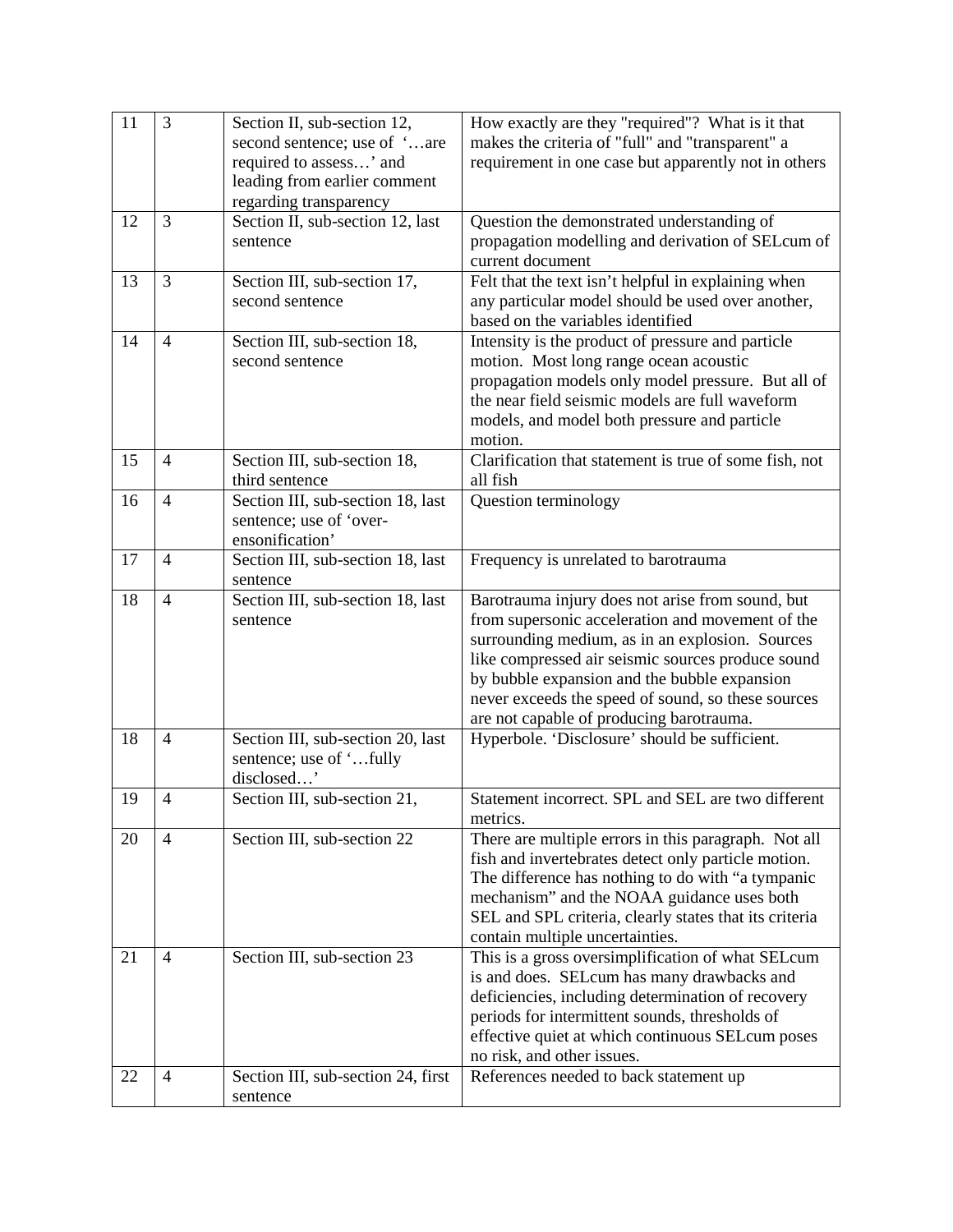| 11 | 3              | Section II, sub-section 12,<br>second sentence; use of 'are<br>required to assess' and<br>leading from earlier comment<br>regarding transparency | How exactly are they "required"? What is it that<br>makes the criteria of "full" and "transparent" a<br>requirement in one case but apparently not in others                                                                                                                                                                                                   |
|----|----------------|--------------------------------------------------------------------------------------------------------------------------------------------------|----------------------------------------------------------------------------------------------------------------------------------------------------------------------------------------------------------------------------------------------------------------------------------------------------------------------------------------------------------------|
| 12 | 3              | Section II, sub-section 12, last<br>sentence                                                                                                     | Question the demonstrated understanding of<br>propagation modelling and derivation of SEL cum of<br>current document                                                                                                                                                                                                                                           |
| 13 | 3              | Section III, sub-section 17,<br>second sentence                                                                                                  | Felt that the text isn't helpful in explaining when<br>any particular model should be used over another,<br>based on the variables identified                                                                                                                                                                                                                  |
| 14 | $\overline{4}$ | Section III, sub-section 18,<br>second sentence                                                                                                  | Intensity is the product of pressure and particle<br>motion. Most long range ocean acoustic<br>propagation models only model pressure. But all of<br>the near field seismic models are full waveform<br>models, and model both pressure and particle<br>motion.                                                                                                |
| 15 | $\overline{4}$ | Section III, sub-section 18,<br>third sentence                                                                                                   | Clarification that statement is true of some fish, not<br>all fish                                                                                                                                                                                                                                                                                             |
| 16 | $\overline{4}$ | Section III, sub-section 18, last<br>sentence; use of 'over-<br>ensonification'                                                                  | Question terminology                                                                                                                                                                                                                                                                                                                                           |
| 17 | $\overline{4}$ | Section III, sub-section 18, last<br>sentence                                                                                                    | Frequency is unrelated to barotrauma                                                                                                                                                                                                                                                                                                                           |
| 18 | $\overline{4}$ | Section III, sub-section 18, last<br>sentence                                                                                                    | Barotrauma injury does not arise from sound, but<br>from supersonic acceleration and movement of the<br>surrounding medium, as in an explosion. Sources<br>like compressed air seismic sources produce sound<br>by bubble expansion and the bubble expansion<br>never exceeds the speed of sound, so these sources<br>are not capable of producing barotrauma. |
| 18 | $\overline{4}$ | Section III, sub-section 20, last<br>sentence; use of 'fully<br>disclosed'                                                                       | Hyperbole. 'Disclosure' should be sufficient.                                                                                                                                                                                                                                                                                                                  |
| 19 | $\overline{4}$ | Section III, sub-section 21,                                                                                                                     | Statement incorrect. SPL and SEL are two different<br>metrics.                                                                                                                                                                                                                                                                                                 |
| 20 | $\overline{4}$ | Section III, sub-section 22                                                                                                                      | There are multiple errors in this paragraph. Not all<br>fish and invertebrates detect only particle motion.<br>The difference has nothing to do with "a tympanic<br>mechanism" and the NOAA guidance uses both<br>SEL and SPL criteria, clearly states that its criteria<br>contain multiple uncertainties.                                                    |
| 21 | $\overline{4}$ | Section III, sub-section 23                                                                                                                      | This is a gross oversimplification of what SELcum<br>is and does. SELcum has many drawbacks and<br>deficiencies, including determination of recovery<br>periods for intermittent sounds, thresholds of<br>effective quiet at which continuous SELcum poses<br>no risk, and other issues.                                                                       |
| 22 | $\overline{4}$ | Section III, sub-section 24, first<br>sentence                                                                                                   | References needed to back statement up                                                                                                                                                                                                                                                                                                                         |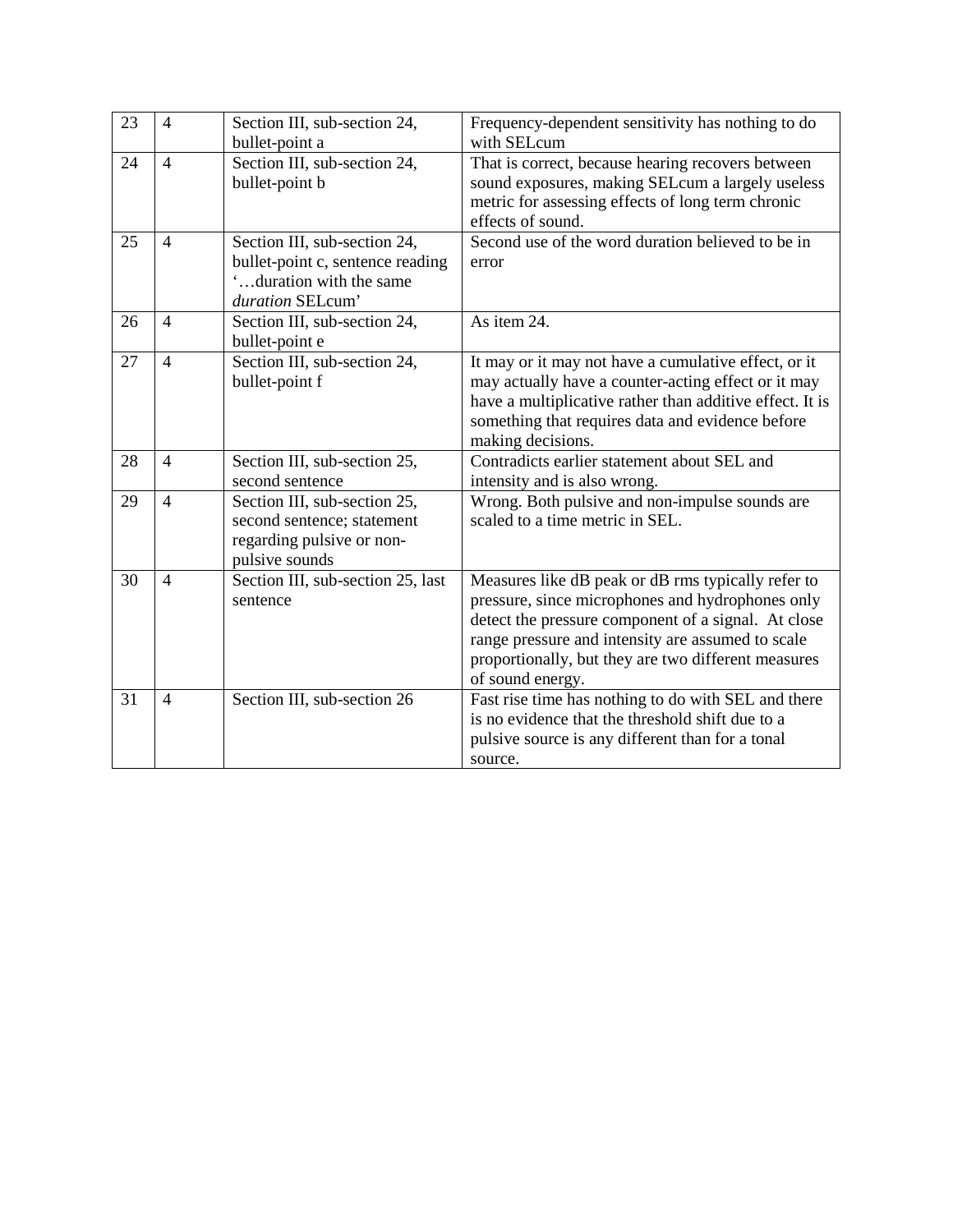| 23 | $\overline{4}$ | Section III, sub-section 24,<br>bullet-point a                                                                 | Frequency-dependent sensitivity has nothing to do<br>with SELcum                                                                                                                                                                                                                              |
|----|----------------|----------------------------------------------------------------------------------------------------------------|-----------------------------------------------------------------------------------------------------------------------------------------------------------------------------------------------------------------------------------------------------------------------------------------------|
| 24 | $\overline{4}$ | Section III, sub-section 24,<br>bullet-point b                                                                 | That is correct, because hearing recovers between<br>sound exposures, making SELcum a largely useless<br>metric for assessing effects of long term chronic<br>effects of sound.                                                                                                               |
| 25 | $\overline{4}$ | Section III, sub-section 24,<br>bullet-point c, sentence reading<br>duration with the same<br>duration SELcum' | Second use of the word duration believed to be in<br>error                                                                                                                                                                                                                                    |
| 26 | $\overline{4}$ | Section III, sub-section 24,<br>bullet-point e                                                                 | As item 24.                                                                                                                                                                                                                                                                                   |
| 27 | $\overline{4}$ | Section III, sub-section 24,<br>bullet-point f                                                                 | It may or it may not have a cumulative effect, or it<br>may actually have a counter-acting effect or it may<br>have a multiplicative rather than additive effect. It is<br>something that requires data and evidence before<br>making decisions.                                              |
| 28 | $\overline{4}$ | Section III, sub-section 25,<br>second sentence                                                                | Contradicts earlier statement about SEL and<br>intensity and is also wrong.                                                                                                                                                                                                                   |
| 29 | $\overline{4}$ | Section III, sub-section 25,<br>second sentence; statement<br>regarding pulsive or non-<br>pulsive sounds      | Wrong. Both pulsive and non-impulse sounds are<br>scaled to a time metric in SEL.                                                                                                                                                                                                             |
| 30 | $\overline{4}$ | Section III, sub-section 25, last<br>sentence                                                                  | Measures like dB peak or dB rms typically refer to<br>pressure, since microphones and hydrophones only<br>detect the pressure component of a signal. At close<br>range pressure and intensity are assumed to scale<br>proportionally, but they are two different measures<br>of sound energy. |
| 31 | $\overline{4}$ | Section III, sub-section 26                                                                                    | Fast rise time has nothing to do with SEL and there<br>is no evidence that the threshold shift due to a<br>pulsive source is any different than for a tonal<br>source.                                                                                                                        |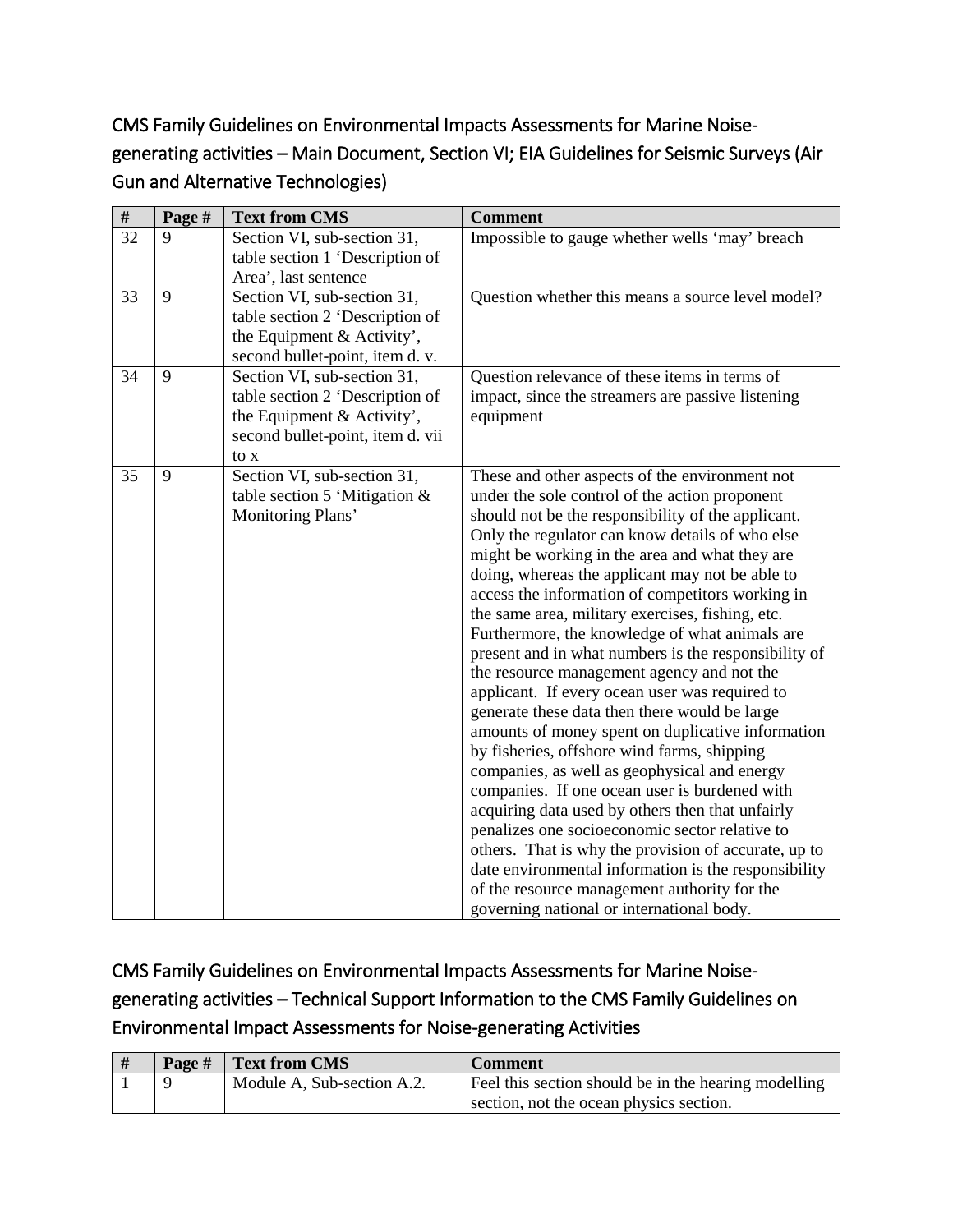CMS Family Guidelines on Environmental Impacts Assessments for Marine Noisegenerating activities – Main Document, Section VI; EIA Guidelines for Seismic Surveys (Air Gun and Alternative Technologies)

| $\#$ | Page # | <b>Text from CMS</b>                                                                                                                     | <b>Comment</b>                                                                                                                                                                                                                                                                                                                                                                                                                                                                                                                                                                                                                                                                                                                                                                                                                                                                                                                                                                                                                                                                                                                                                                                            |
|------|--------|------------------------------------------------------------------------------------------------------------------------------------------|-----------------------------------------------------------------------------------------------------------------------------------------------------------------------------------------------------------------------------------------------------------------------------------------------------------------------------------------------------------------------------------------------------------------------------------------------------------------------------------------------------------------------------------------------------------------------------------------------------------------------------------------------------------------------------------------------------------------------------------------------------------------------------------------------------------------------------------------------------------------------------------------------------------------------------------------------------------------------------------------------------------------------------------------------------------------------------------------------------------------------------------------------------------------------------------------------------------|
| 32   | 9      | Section VI, sub-section 31,<br>table section 1 'Description of<br>Area', last sentence                                                   | Impossible to gauge whether wells 'may' breach                                                                                                                                                                                                                                                                                                                                                                                                                                                                                                                                                                                                                                                                                                                                                                                                                                                                                                                                                                                                                                                                                                                                                            |
| 33   | 9      | Section VI, sub-section 31,<br>table section 2 'Description of<br>the Equipment & Activity',<br>second bullet-point, item d. v.          | Question whether this means a source level model?                                                                                                                                                                                                                                                                                                                                                                                                                                                                                                                                                                                                                                                                                                                                                                                                                                                                                                                                                                                                                                                                                                                                                         |
| 34   | 9      | Section VI, sub-section 31,<br>table section 2 'Description of<br>the Equipment & Activity',<br>second bullet-point, item d. vii<br>to x | Question relevance of these items in terms of<br>impact, since the streamers are passive listening<br>equipment                                                                                                                                                                                                                                                                                                                                                                                                                                                                                                                                                                                                                                                                                                                                                                                                                                                                                                                                                                                                                                                                                           |
| 35   | 9      | Section VI, sub-section 31,<br>table section 5 'Mitigation $&$<br>Monitoring Plans'                                                      | These and other aspects of the environment not<br>under the sole control of the action proponent<br>should not be the responsibility of the applicant.<br>Only the regulator can know details of who else<br>might be working in the area and what they are<br>doing, whereas the applicant may not be able to<br>access the information of competitors working in<br>the same area, military exercises, fishing, etc.<br>Furthermore, the knowledge of what animals are<br>present and in what numbers is the responsibility of<br>the resource management agency and not the<br>applicant. If every ocean user was required to<br>generate these data then there would be large<br>amounts of money spent on duplicative information<br>by fisheries, offshore wind farms, shipping<br>companies, as well as geophysical and energy<br>companies. If one ocean user is burdened with<br>acquiring data used by others then that unfairly<br>penalizes one socioeconomic sector relative to<br>others. That is why the provision of accurate, up to<br>date environmental information is the responsibility<br>of the resource management authority for the<br>governing national or international body. |

CMS Family Guidelines on Environmental Impacts Assessments for Marine Noisegenerating activities – Technical Support Information to the CMS Family Guidelines on Environmental Impact Assessments for Noise-generating Activities

|  | Page # Text from CMS       | Comment                                                                                         |
|--|----------------------------|-------------------------------------------------------------------------------------------------|
|  | Module A, Sub-section A.2. | Feel this section should be in the hearing modelling<br>section, not the ocean physics section. |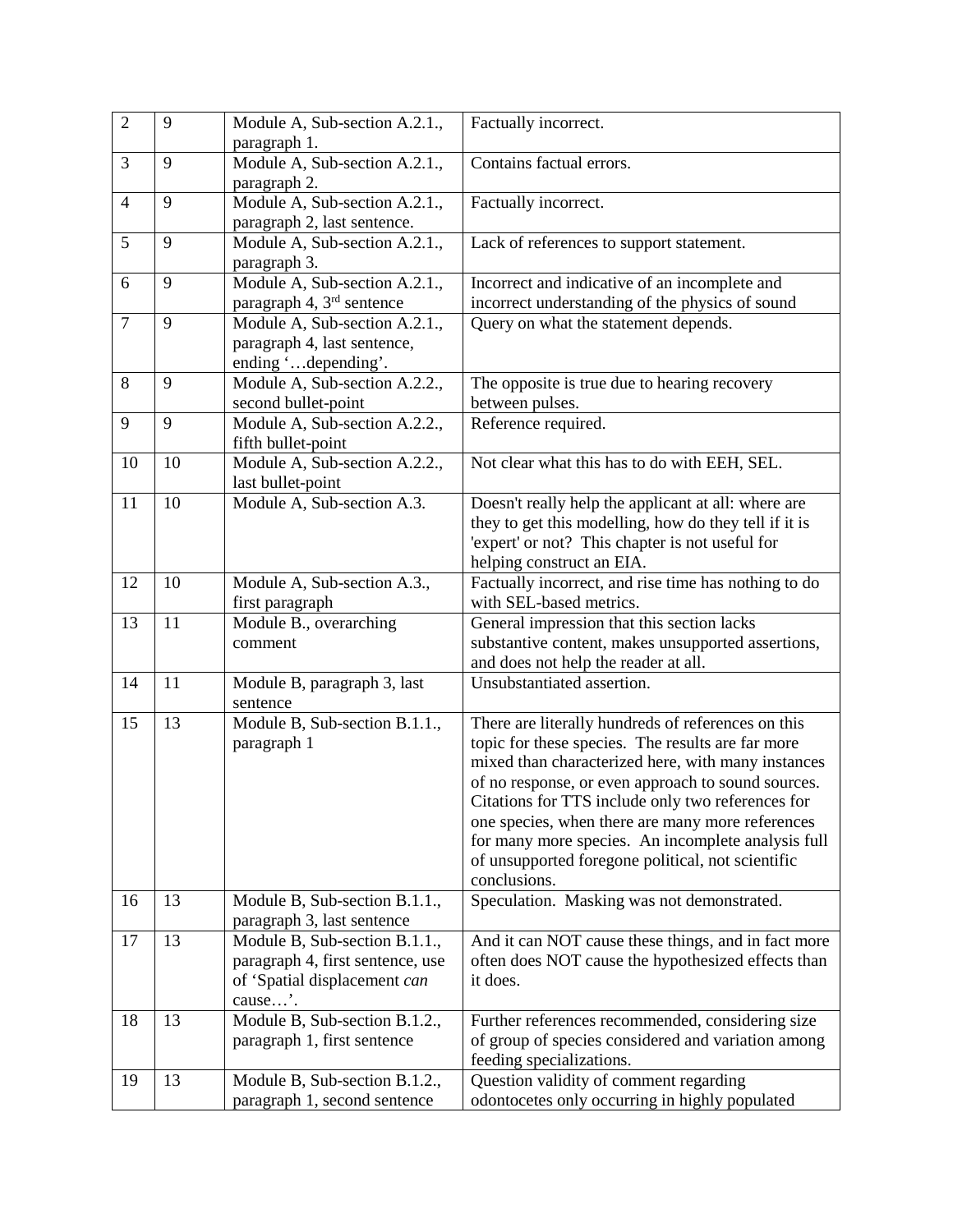| $\overline{2}$ | 9  | Module A, Sub-section A.2.1.,<br>paragraph 1.                                                                | Factually incorrect.                                                                                                                                                                                                                                                                                                                                                                                                                                    |
|----------------|----|--------------------------------------------------------------------------------------------------------------|---------------------------------------------------------------------------------------------------------------------------------------------------------------------------------------------------------------------------------------------------------------------------------------------------------------------------------------------------------------------------------------------------------------------------------------------------------|
| 3              | 9  | Module A, Sub-section A.2.1.,<br>paragraph 2.                                                                | Contains factual errors.                                                                                                                                                                                                                                                                                                                                                                                                                                |
| $\overline{4}$ | 9  | Module A, Sub-section A.2.1.,<br>paragraph 2, last sentence.                                                 | Factually incorrect.                                                                                                                                                                                                                                                                                                                                                                                                                                    |
| 5              | 9  | Module A, Sub-section A.2.1.,<br>paragraph 3.                                                                | Lack of references to support statement.                                                                                                                                                                                                                                                                                                                                                                                                                |
| 6              | 9  | Module A, Sub-section A.2.1.,<br>paragraph 4, 3 <sup>rd</sup> sentence                                       | Incorrect and indicative of an incomplete and<br>incorrect understanding of the physics of sound                                                                                                                                                                                                                                                                                                                                                        |
| $\overline{7}$ | 9  | Module A, Sub-section A.2.1.,<br>paragraph 4, last sentence,<br>ending 'depending'.                          | Query on what the statement depends.                                                                                                                                                                                                                                                                                                                                                                                                                    |
| 8              | 9  | Module A, Sub-section A.2.2.,<br>second bullet-point                                                         | The opposite is true due to hearing recovery<br>between pulses.                                                                                                                                                                                                                                                                                                                                                                                         |
| 9              | 9  | Module A, Sub-section A.2.2.,<br>fifth bullet-point                                                          | Reference required.                                                                                                                                                                                                                                                                                                                                                                                                                                     |
| 10             | 10 | Module A, Sub-section A.2.2.,<br>last bullet-point                                                           | Not clear what this has to do with EEH, SEL.                                                                                                                                                                                                                                                                                                                                                                                                            |
| 11             | 10 | Module A, Sub-section A.3.                                                                                   | Doesn't really help the applicant at all: where are<br>they to get this modelling, how do they tell if it is<br>'expert' or not? This chapter is not useful for<br>helping construct an EIA.                                                                                                                                                                                                                                                            |
| 12             | 10 | Module A, Sub-section A.3.,<br>first paragraph                                                               | Factually incorrect, and rise time has nothing to do<br>with SEL-based metrics.                                                                                                                                                                                                                                                                                                                                                                         |
| 13             | 11 | Module B., overarching<br>comment                                                                            | General impression that this section lacks<br>substantive content, makes unsupported assertions,<br>and does not help the reader at all.                                                                                                                                                                                                                                                                                                                |
| 14             | 11 | Module B, paragraph 3, last<br>sentence                                                                      | Unsubstantiated assertion.                                                                                                                                                                                                                                                                                                                                                                                                                              |
| 15             | 13 | Module B, Sub-section B.1.1.,<br>paragraph 1                                                                 | There are literally hundreds of references on this<br>topic for these species. The results are far more<br>mixed than characterized here, with many instances<br>of no response, or even approach to sound sources.<br>Citations for TTS include only two references for<br>one species, when there are many more references<br>for many more species. An incomplete analysis full<br>of unsupported foregone political, not scientific<br>conclusions. |
| 16             | 13 | Module B, Sub-section B.1.1.,<br>paragraph 3, last sentence                                                  | Speculation. Masking was not demonstrated.                                                                                                                                                                                                                                                                                                                                                                                                              |
| 17             | 13 | Module B, Sub-section B.1.1.,<br>paragraph 4, first sentence, use<br>of 'Spatial displacement can<br>cause'. | And it can NOT cause these things, and in fact more<br>often does NOT cause the hypothesized effects than<br>it does.                                                                                                                                                                                                                                                                                                                                   |
| 18             | 13 | Module B, Sub-section B.1.2.,<br>paragraph 1, first sentence                                                 | Further references recommended, considering size<br>of group of species considered and variation among<br>feeding specializations.                                                                                                                                                                                                                                                                                                                      |
| 19             | 13 | Module B, Sub-section B.1.2.,<br>paragraph 1, second sentence                                                | Question validity of comment regarding<br>odontocetes only occurring in highly populated                                                                                                                                                                                                                                                                                                                                                                |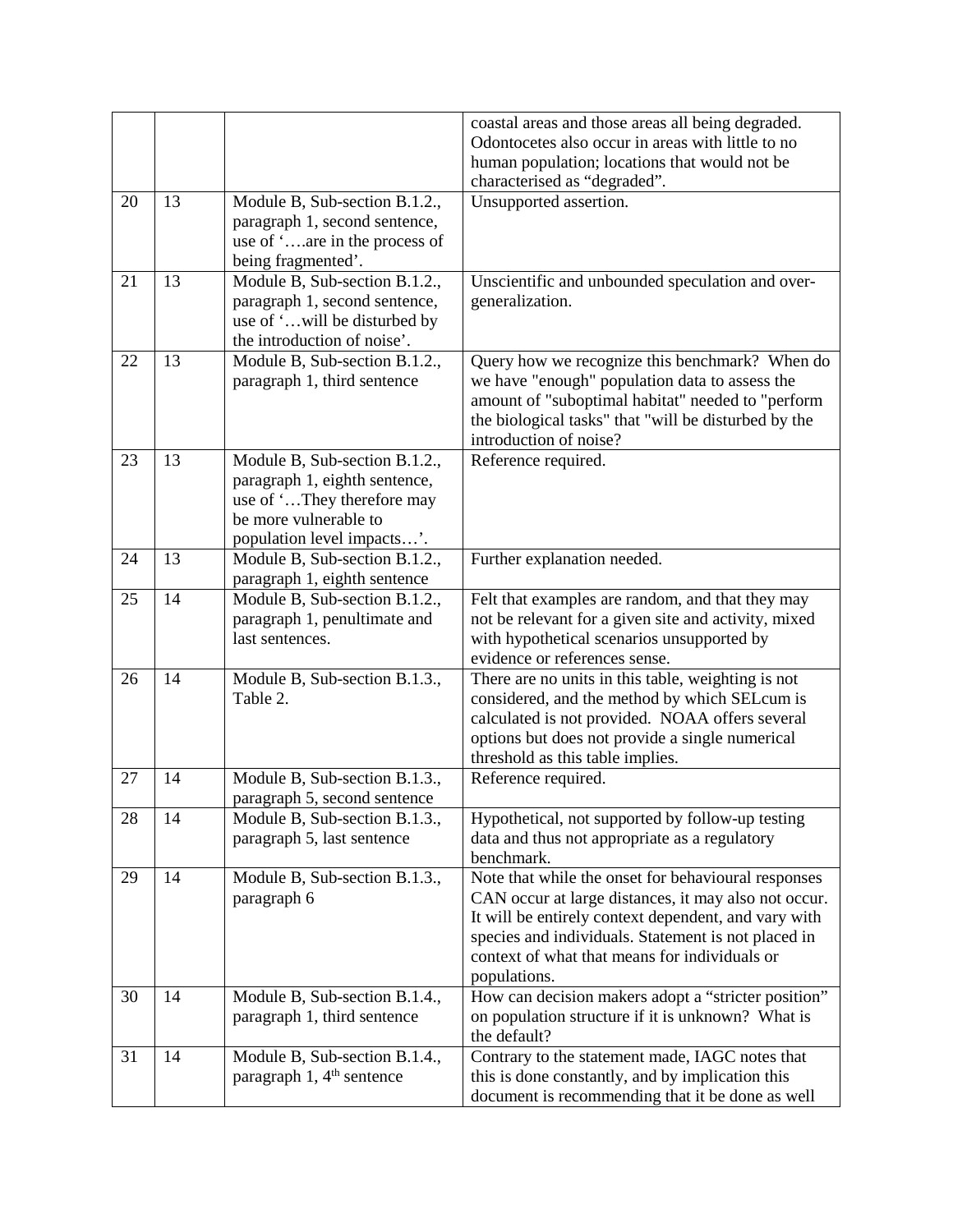|    |    |                                                                                                                                                     | coastal areas and those areas all being degraded.<br>Odontocetes also occur in areas with little to no<br>human population; locations that would not be                                                                                                                                     |
|----|----|-----------------------------------------------------------------------------------------------------------------------------------------------------|---------------------------------------------------------------------------------------------------------------------------------------------------------------------------------------------------------------------------------------------------------------------------------------------|
|    |    |                                                                                                                                                     | characterised as "degraded".                                                                                                                                                                                                                                                                |
| 20 | 13 | Module B, Sub-section B.1.2.,<br>paragraph 1, second sentence,<br>use of 'are in the process of<br>being fragmented'.                               | Unsupported assertion.                                                                                                                                                                                                                                                                      |
| 21 | 13 | Module B, Sub-section B.1.2.,<br>paragraph 1, second sentence,<br>use of 'will be disturbed by<br>the introduction of noise'.                       | Unscientific and unbounded speculation and over-<br>generalization.                                                                                                                                                                                                                         |
| 22 | 13 | Module B, Sub-section B.1.2.,<br>paragraph 1, third sentence                                                                                        | Query how we recognize this benchmark? When do<br>we have "enough" population data to assess the<br>amount of "suboptimal habitat" needed to "perform<br>the biological tasks" that "will be disturbed by the<br>introduction of noise?                                                     |
| 23 | 13 | Module B, Sub-section B.1.2.,<br>paragraph 1, eighth sentence,<br>use of 'They therefore may<br>be more vulnerable to<br>population level impacts'. | Reference required.                                                                                                                                                                                                                                                                         |
| 24 | 13 | Module B, Sub-section B.1.2.,<br>paragraph 1, eighth sentence                                                                                       | Further explanation needed.                                                                                                                                                                                                                                                                 |
| 25 | 14 | Module B, Sub-section B.1.2.,<br>paragraph 1, penultimate and<br>last sentences.                                                                    | Felt that examples are random, and that they may<br>not be relevant for a given site and activity, mixed<br>with hypothetical scenarios unsupported by<br>evidence or references sense.                                                                                                     |
| 26 | 14 | Module B, Sub-section B.1.3.,<br>Table 2.                                                                                                           | There are no units in this table, weighting is not<br>considered, and the method by which SELcum is<br>calculated is not provided. NOAA offers several<br>options but does not provide a single numerical<br>threshold as this table implies.                                               |
| 27 | 14 | Module B, Sub-section B.1.3.,<br>paragraph 5, second sentence                                                                                       | Reference required.                                                                                                                                                                                                                                                                         |
| 28 | 14 | Module B, Sub-section B.1.3.,<br>paragraph 5, last sentence                                                                                         | Hypothetical, not supported by follow-up testing<br>data and thus not appropriate as a regulatory<br>benchmark.                                                                                                                                                                             |
| 29 | 14 | Module B, Sub-section B.1.3.,<br>paragraph 6                                                                                                        | Note that while the onset for behavioural responses<br>CAN occur at large distances, it may also not occur.<br>It will be entirely context dependent, and vary with<br>species and individuals. Statement is not placed in<br>context of what that means for individuals or<br>populations. |
| 30 | 14 | Module B, Sub-section B.1.4.,<br>paragraph 1, third sentence                                                                                        | How can decision makers adopt a "stricter position"<br>on population structure if it is unknown? What is<br>the default?                                                                                                                                                                    |
| 31 | 14 | Module B, Sub-section B.1.4.,<br>paragraph $1, 4th$ sentence                                                                                        | Contrary to the statement made, IAGC notes that<br>this is done constantly, and by implication this<br>document is recommending that it be done as well                                                                                                                                     |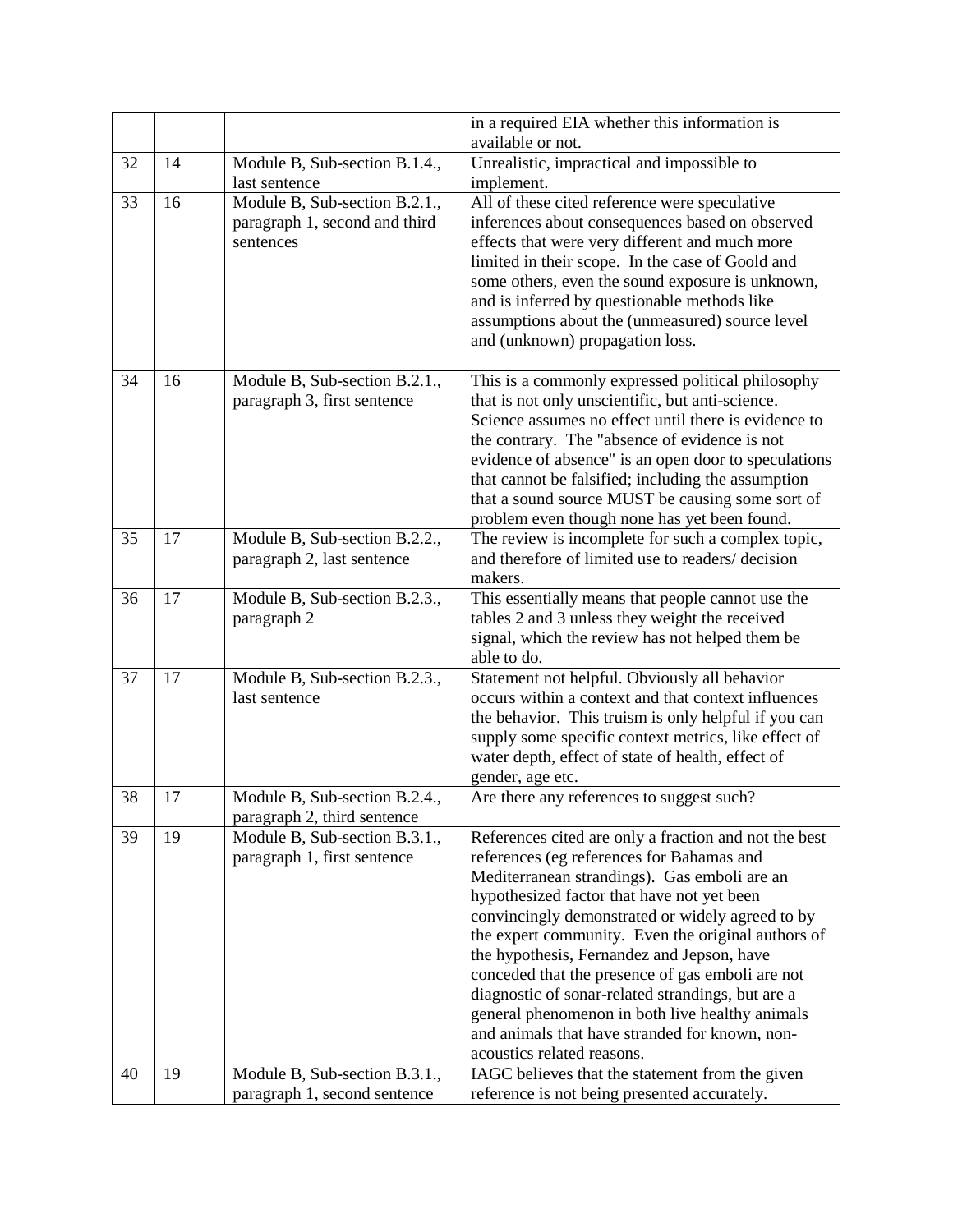|    |    |                                                                             | in a required EIA whether this information is<br>available or not.                                                                                                                                                                                                                                                                                                                                                                                                                                                                                                                                   |
|----|----|-----------------------------------------------------------------------------|------------------------------------------------------------------------------------------------------------------------------------------------------------------------------------------------------------------------------------------------------------------------------------------------------------------------------------------------------------------------------------------------------------------------------------------------------------------------------------------------------------------------------------------------------------------------------------------------------|
| 32 | 14 | Module B, Sub-section B.1.4.,                                               | Unrealistic, impractical and impossible to                                                                                                                                                                                                                                                                                                                                                                                                                                                                                                                                                           |
|    |    | last sentence                                                               | implement.                                                                                                                                                                                                                                                                                                                                                                                                                                                                                                                                                                                           |
| 33 | 16 | Module B, Sub-section B.2.1.,<br>paragraph 1, second and third<br>sentences | All of these cited reference were speculative<br>inferences about consequences based on observed<br>effects that were very different and much more<br>limited in their scope. In the case of Goold and<br>some others, even the sound exposure is unknown,<br>and is inferred by questionable methods like<br>assumptions about the (unmeasured) source level<br>and (unknown) propagation loss.                                                                                                                                                                                                     |
| 34 | 16 | Module B, Sub-section B.2.1.,<br>paragraph 3, first sentence                | This is a commonly expressed political philosophy<br>that is not only unscientific, but anti-science.<br>Science assumes no effect until there is evidence to<br>the contrary. The "absence of evidence is not<br>evidence of absence" is an open door to speculations<br>that cannot be falsified; including the assumption<br>that a sound source MUST be causing some sort of<br>problem even though none has yet been found.                                                                                                                                                                     |
| 35 | 17 | Module B, Sub-section B.2.2.,<br>paragraph 2, last sentence                 | The review is incomplete for such a complex topic,<br>and therefore of limited use to readers/decision<br>makers.                                                                                                                                                                                                                                                                                                                                                                                                                                                                                    |
| 36 | 17 | Module B, Sub-section B.2.3.,<br>paragraph 2                                | This essentially means that people cannot use the<br>tables 2 and 3 unless they weight the received<br>signal, which the review has not helped them be<br>able to do.                                                                                                                                                                                                                                                                                                                                                                                                                                |
| 37 | 17 | Module B, Sub-section B.2.3.,<br>last sentence                              | Statement not helpful. Obviously all behavior<br>occurs within a context and that context influences<br>the behavior. This truism is only helpful if you can<br>supply some specific context metrics, like effect of<br>water depth, effect of state of health, effect of<br>gender, age etc.                                                                                                                                                                                                                                                                                                        |
| 38 | 17 | Module B, Sub-section B.2.4.,<br>paragraph 2, third sentence                | Are there any references to suggest such?                                                                                                                                                                                                                                                                                                                                                                                                                                                                                                                                                            |
| 39 | 19 | Module B, Sub-section B.3.1.,<br>paragraph 1, first sentence                | References cited are only a fraction and not the best<br>references (eg references for Bahamas and<br>Mediterranean strandings). Gas emboli are an<br>hypothesized factor that have not yet been<br>convincingly demonstrated or widely agreed to by<br>the expert community. Even the original authors of<br>the hypothesis, Fernandez and Jepson, have<br>conceded that the presence of gas emboli are not<br>diagnostic of sonar-related strandings, but are a<br>general phenomenon in both live healthy animals<br>and animals that have stranded for known, non-<br>acoustics related reasons. |
| 40 | 19 | Module B, Sub-section B.3.1.,<br>paragraph 1, second sentence               | IAGC believes that the statement from the given<br>reference is not being presented accurately.                                                                                                                                                                                                                                                                                                                                                                                                                                                                                                      |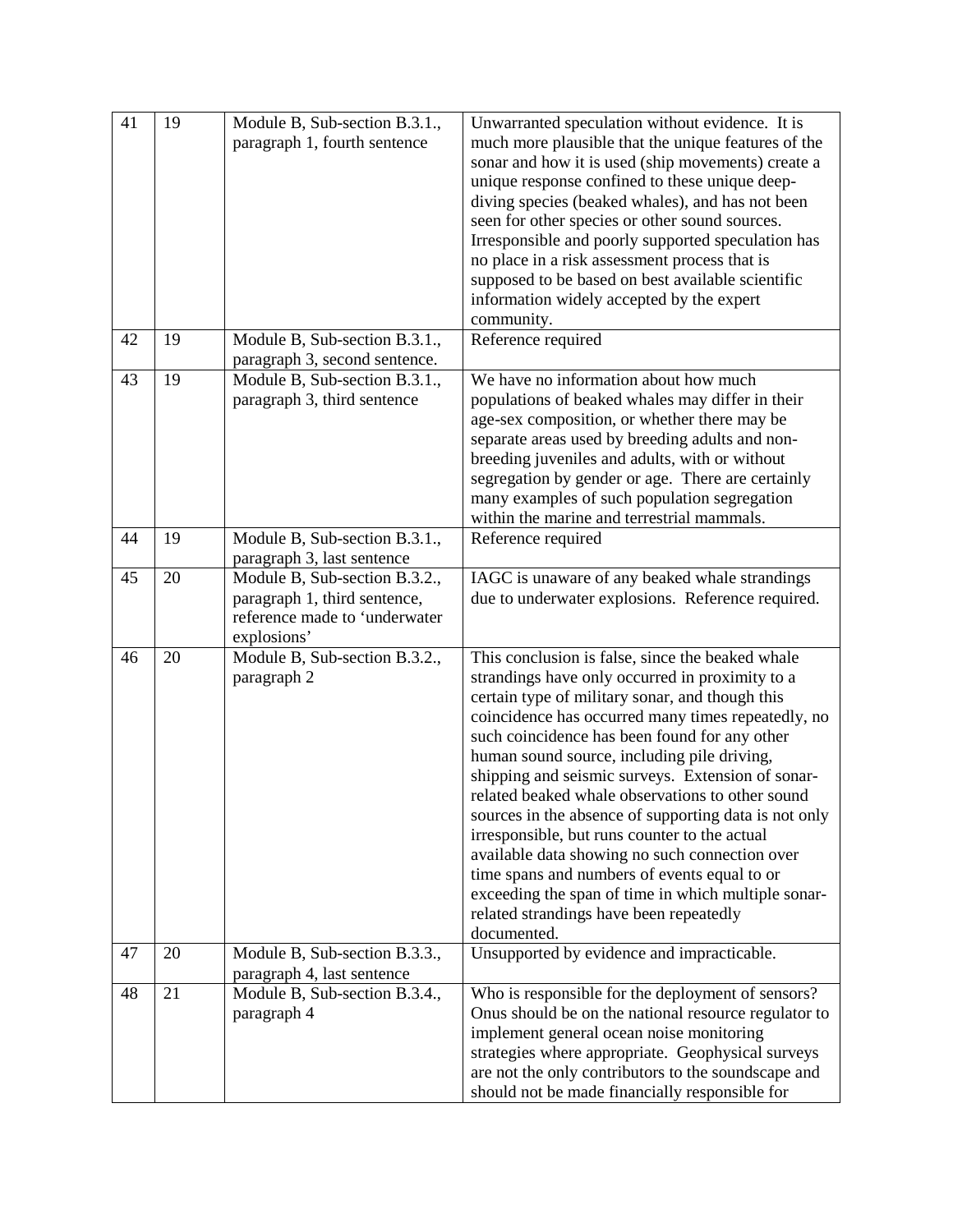| 41 | 19 | Module B, Sub-section B.3.1.,<br>paragraph 1, fourth sentence                                                 | Unwarranted speculation without evidence. It is<br>much more plausible that the unique features of the<br>sonar and how it is used (ship movements) create a<br>unique response confined to these unique deep-<br>diving species (beaked whales), and has not been<br>seen for other species or other sound sources.<br>Irresponsible and poorly supported speculation has<br>no place in a risk assessment process that is<br>supposed to be based on best available scientific<br>information widely accepted by the expert<br>community.                                                                                                                                                                                                        |
|----|----|---------------------------------------------------------------------------------------------------------------|----------------------------------------------------------------------------------------------------------------------------------------------------------------------------------------------------------------------------------------------------------------------------------------------------------------------------------------------------------------------------------------------------------------------------------------------------------------------------------------------------------------------------------------------------------------------------------------------------------------------------------------------------------------------------------------------------------------------------------------------------|
| 42 | 19 | Module B, Sub-section B.3.1.,<br>paragraph 3, second sentence.                                                | Reference required                                                                                                                                                                                                                                                                                                                                                                                                                                                                                                                                                                                                                                                                                                                                 |
| 43 | 19 | Module B, Sub-section B.3.1.,<br>paragraph 3, third sentence                                                  | We have no information about how much<br>populations of beaked whales may differ in their<br>age-sex composition, or whether there may be<br>separate areas used by breeding adults and non-<br>breeding juveniles and adults, with or without<br>segregation by gender or age. There are certainly<br>many examples of such population segregation<br>within the marine and terrestrial mammals.                                                                                                                                                                                                                                                                                                                                                  |
| 44 | 19 | Module B, Sub-section B.3.1.,<br>paragraph 3, last sentence                                                   | Reference required                                                                                                                                                                                                                                                                                                                                                                                                                                                                                                                                                                                                                                                                                                                                 |
| 45 | 20 | Module B, Sub-section B.3.2.,<br>paragraph 1, third sentence,<br>reference made to 'underwater<br>explosions' | IAGC is unaware of any beaked whale strandings<br>due to underwater explosions. Reference required.                                                                                                                                                                                                                                                                                                                                                                                                                                                                                                                                                                                                                                                |
| 46 | 20 | Module B, Sub-section B.3.2.,<br>paragraph 2                                                                  | This conclusion is false, since the beaked whale<br>strandings have only occurred in proximity to a<br>certain type of military sonar, and though this<br>coincidence has occurred many times repeatedly, no<br>such coincidence has been found for any other<br>human sound source, including pile driving,<br>shipping and seismic surveys. Extension of sonar-<br>related beaked whale observations to other sound<br>sources in the absence of supporting data is not only<br>irresponsible, but runs counter to the actual<br>available data showing no such connection over<br>time spans and numbers of events equal to or<br>exceeding the span of time in which multiple sonar-<br>related strandings have been repeatedly<br>documented. |
| 47 | 20 | Module B, Sub-section B.3.3.,<br>paragraph 4, last sentence                                                   | Unsupported by evidence and impracticable.                                                                                                                                                                                                                                                                                                                                                                                                                                                                                                                                                                                                                                                                                                         |
| 48 | 21 | Module B, Sub-section B.3.4.,<br>paragraph 4                                                                  | Who is responsible for the deployment of sensors?<br>Onus should be on the national resource regulator to<br>implement general ocean noise monitoring<br>strategies where appropriate. Geophysical surveys<br>are not the only contributors to the soundscape and<br>should not be made financially responsible for                                                                                                                                                                                                                                                                                                                                                                                                                                |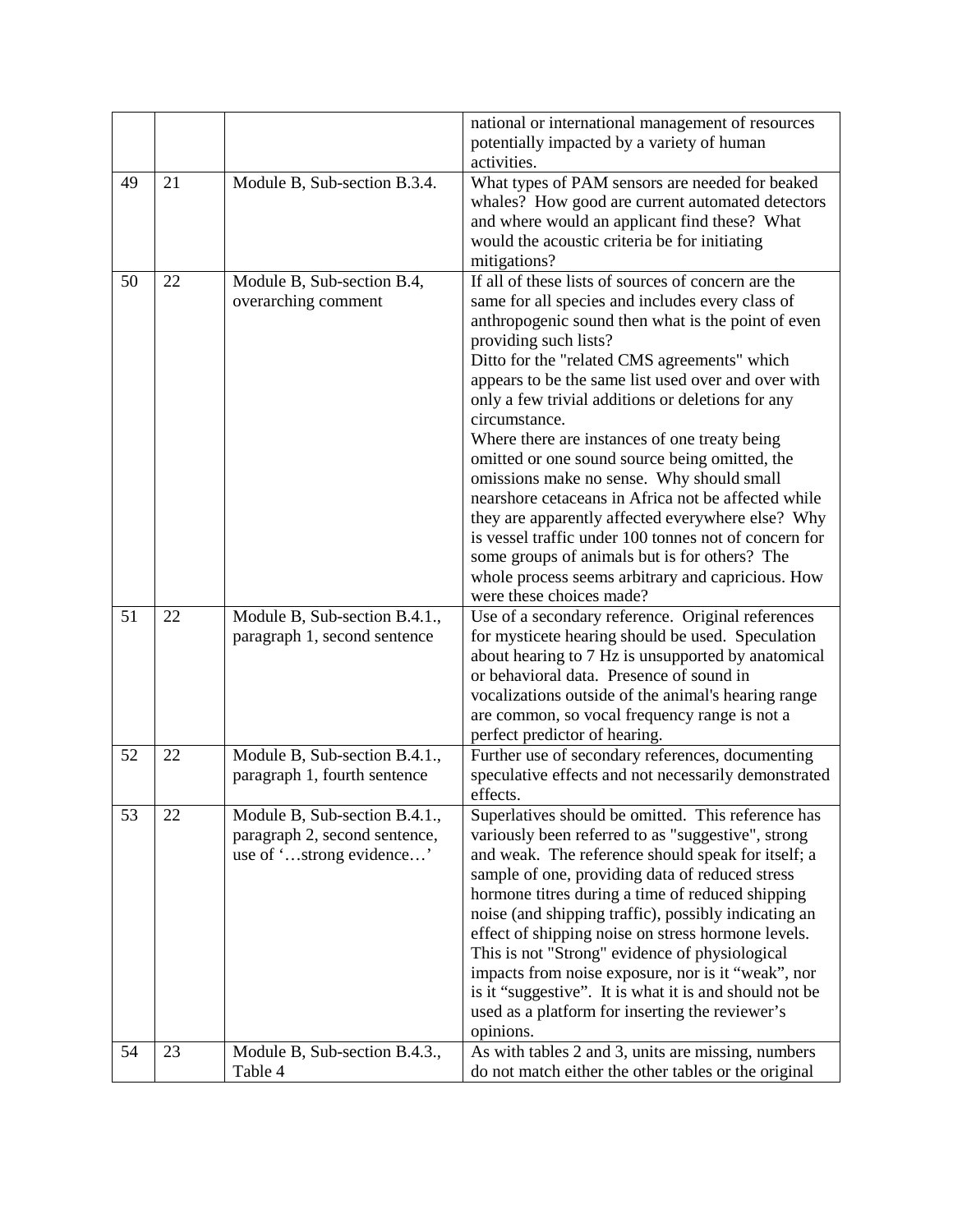|    |    |                                            | national or international management of resources                |
|----|----|--------------------------------------------|------------------------------------------------------------------|
|    |    |                                            | potentially impacted by a variety of human                       |
|    |    |                                            | activities.                                                      |
| 49 | 21 | Module B, Sub-section B.3.4.               | What types of PAM sensors are needed for beaked                  |
|    |    |                                            | whales? How good are current automated detectors                 |
|    |    |                                            | and where would an applicant find these? What                    |
|    |    |                                            | would the acoustic criteria be for initiating                    |
|    |    |                                            | mitigations?                                                     |
| 50 | 22 | Module B, Sub-section B.4,                 | If all of these lists of sources of concern are the              |
|    |    | overarching comment                        | same for all species and includes every class of                 |
|    |    |                                            | anthropogenic sound then what is the point of even               |
|    |    |                                            | providing such lists?                                            |
|    |    |                                            | Ditto for the "related CMS agreements" which                     |
|    |    |                                            | appears to be the same list used over and over with              |
|    |    |                                            | only a few trivial additions or deletions for any                |
|    |    |                                            | circumstance.                                                    |
|    |    |                                            | Where there are instances of one treaty being                    |
|    |    |                                            | omitted or one sound source being omitted, the                   |
|    |    |                                            | omissions make no sense. Why should small                        |
|    |    |                                            | nearshore cetaceans in Africa not be affected while              |
|    |    |                                            | they are apparently affected everywhere else? Why                |
|    |    |                                            | is vessel traffic under 100 tonnes not of concern for            |
|    |    |                                            | some groups of animals but is for others? The                    |
|    |    |                                            | whole process seems arbitrary and capricious. How                |
|    |    |                                            | were these choices made?                                         |
| 51 | 22 | Module B, Sub-section B.4.1.,              | Use of a secondary reference. Original references                |
|    |    | paragraph 1, second sentence               | for mysticete hearing should be used. Speculation                |
|    |    |                                            | about hearing to 7 Hz is unsupported by anatomical               |
|    |    |                                            | or behavioral data. Presence of sound in                         |
|    |    |                                            | vocalizations outside of the animal's hearing range              |
|    |    |                                            | are common, so vocal frequency range is not a                    |
| 52 |    |                                            | perfect predictor of hearing.                                    |
|    | 22 | Module B, Sub-section B.4.1.,              | Further use of secondary references, documenting                 |
|    |    | paragraph 1, fourth sentence               | speculative effects and not necessarily demonstrated<br>effects. |
| 53 | 22 | Module B, Sub-section B.4.1.,              | Superlatives should be omitted. This reference has               |
|    |    | paragraph 2, second sentence,              | variously been referred to as "suggestive", strong               |
|    |    | use of 'strong evidence'                   | and weak. The reference should speak for itself; a               |
|    |    |                                            | sample of one, providing data of reduced stress                  |
|    |    |                                            | hormone titres during a time of reduced shipping                 |
|    |    |                                            | noise (and shipping traffic), possibly indicating an             |
|    |    |                                            | effect of shipping noise on stress hormone levels.               |
|    |    |                                            | This is not "Strong" evidence of physiological                   |
|    |    |                                            | impacts from noise exposure, nor is it "weak", nor               |
|    |    |                                            | is it "suggestive". It is what it is and should not be           |
|    |    |                                            | used as a platform for inserting the reviewer's                  |
|    |    |                                            | opinions.                                                        |
| 54 | 23 | Module B, Sub-section B.4. $\overline{3,}$ | As with tables 2 and 3, units are missing, numbers               |
|    |    | Table 4                                    | do not match either the other tables or the original             |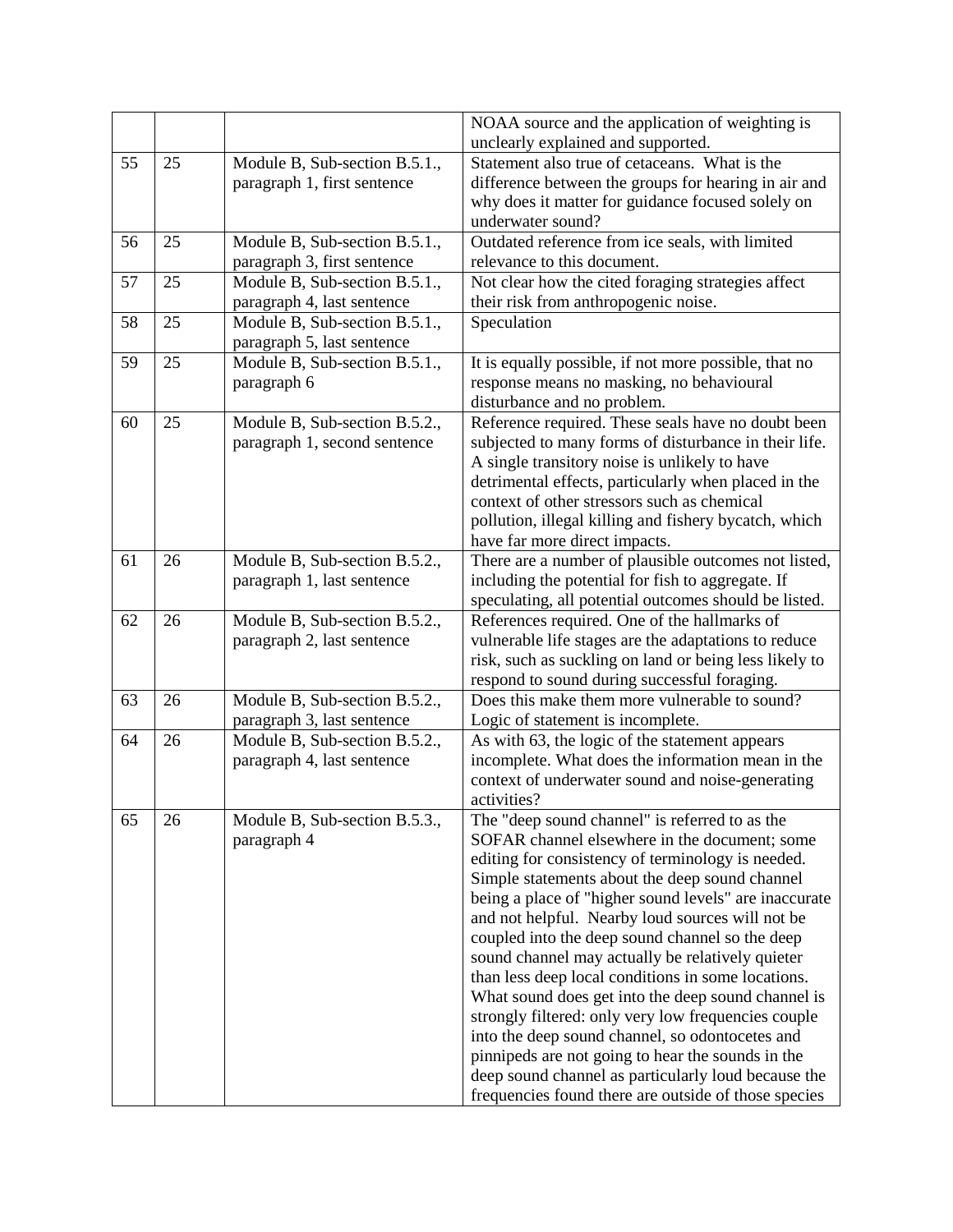|    |    |                                                             | NOAA source and the application of weighting is                                                          |
|----|----|-------------------------------------------------------------|----------------------------------------------------------------------------------------------------------|
|    |    |                                                             | unclearly explained and supported.                                                                       |
| 55 | 25 | Module B, Sub-section B.5.1.,                               | Statement also true of cetaceans. What is the                                                            |
|    |    | paragraph 1, first sentence                                 | difference between the groups for hearing in air and                                                     |
|    |    |                                                             | why does it matter for guidance focused solely on                                                        |
|    |    |                                                             | underwater sound?                                                                                        |
| 56 | 25 | Module B, Sub-section B.5.1.,                               | Outdated reference from ice seals, with limited                                                          |
|    |    | paragraph 3, first sentence                                 | relevance to this document.                                                                              |
| 57 | 25 | Module B, Sub-section B.5.1.,<br>paragraph 4, last sentence | Not clear how the cited foraging strategies affect<br>their risk from anthropogenic noise.               |
| 58 | 25 | Module B, Sub-section B.5.1.,                               | Speculation                                                                                              |
|    |    | paragraph 5, last sentence                                  |                                                                                                          |
| 59 | 25 | Module B, Sub-section B.5.1.,                               | It is equally possible, if not more possible, that no                                                    |
|    |    | paragraph 6                                                 | response means no masking, no behavioural                                                                |
|    |    |                                                             | disturbance and no problem.                                                                              |
| 60 | 25 | Module B, Sub-section B.5.2.,                               | Reference required. These seals have no doubt been                                                       |
|    |    | paragraph 1, second sentence                                | subjected to many forms of disturbance in their life.                                                    |
|    |    |                                                             | A single transitory noise is unlikely to have                                                            |
|    |    |                                                             | detrimental effects, particularly when placed in the                                                     |
|    |    |                                                             | context of other stressors such as chemical                                                              |
|    |    |                                                             | pollution, illegal killing and fishery bycatch, which                                                    |
|    |    |                                                             | have far more direct impacts.                                                                            |
| 61 | 26 | Module B, Sub-section B.5.2.,                               | There are a number of plausible outcomes not listed,                                                     |
|    |    | paragraph 1, last sentence                                  | including the potential for fish to aggregate. If                                                        |
|    |    |                                                             | speculating, all potential outcomes should be listed.                                                    |
| 62 | 26 | Module B, Sub-section B.5.2.,                               | References required. One of the hallmarks of                                                             |
|    |    | paragraph 2, last sentence                                  | vulnerable life stages are the adaptations to reduce                                                     |
|    |    |                                                             | risk, such as suckling on land or being less likely to                                                   |
|    |    |                                                             | respond to sound during successful foraging.                                                             |
| 63 | 26 | Module B, Sub-section B.5.2.,                               | Does this make them more vulnerable to sound?                                                            |
|    |    | paragraph 3, last sentence                                  | Logic of statement is incomplete.                                                                        |
| 64 | 26 | Module B, Sub-section B.5.2.,                               | As with 63, the logic of the statement appears                                                           |
|    |    | paragraph 4, last sentence                                  | incomplete. What does the information mean in the                                                        |
|    |    |                                                             | context of underwater sound and noise-generating                                                         |
|    |    |                                                             | activities?                                                                                              |
| 65 | 26 | Module B, Sub-section B.5.3.,                               | The "deep sound channel" is referred to as the                                                           |
|    |    | paragraph 4                                                 | SOFAR channel elsewhere in the document; some                                                            |
|    |    |                                                             | editing for consistency of terminology is needed.                                                        |
|    |    |                                                             | Simple statements about the deep sound channel                                                           |
|    |    |                                                             | being a place of "higher sound levels" are inaccurate                                                    |
|    |    |                                                             | and not helpful. Nearby loud sources will not be                                                         |
|    |    |                                                             | coupled into the deep sound channel so the deep                                                          |
|    |    |                                                             | sound channel may actually be relatively quieter                                                         |
|    |    |                                                             | than less deep local conditions in some locations.                                                       |
|    |    |                                                             | What sound does get into the deep sound channel is                                                       |
|    |    |                                                             | strongly filtered: only very low frequencies couple                                                      |
|    |    |                                                             | into the deep sound channel, so odontocetes and                                                          |
|    |    |                                                             | pinnipeds are not going to hear the sounds in the<br>deep sound channel as particularly loud because the |
|    |    |                                                             | frequencies found there are outside of those species                                                     |
|    |    |                                                             |                                                                                                          |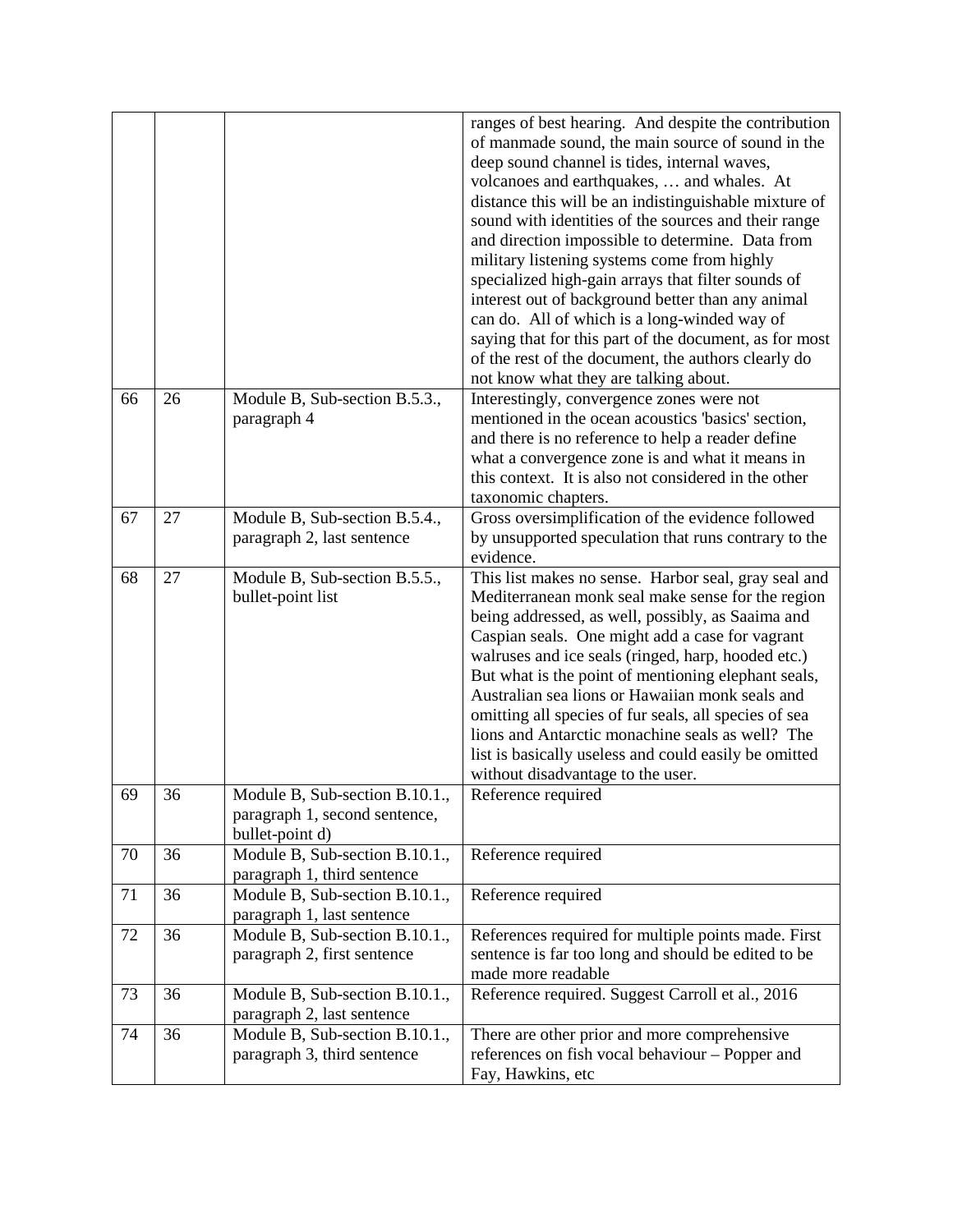|    |    |                                                                                    | ranges of best hearing. And despite the contribution<br>of manmade sound, the main source of sound in the<br>deep sound channel is tides, internal waves,<br>volcanoes and earthquakes,  and whales. At<br>distance this will be an indistinguishable mixture of<br>sound with identities of the sources and their range<br>and direction impossible to determine. Data from<br>military listening systems come from highly<br>specialized high-gain arrays that filter sounds of<br>interest out of background better than any animal<br>can do. All of which is a long-winded way of<br>saying that for this part of the document, as for most<br>of the rest of the document, the authors clearly do<br>not know what they are talking about. |
|----|----|------------------------------------------------------------------------------------|--------------------------------------------------------------------------------------------------------------------------------------------------------------------------------------------------------------------------------------------------------------------------------------------------------------------------------------------------------------------------------------------------------------------------------------------------------------------------------------------------------------------------------------------------------------------------------------------------------------------------------------------------------------------------------------------------------------------------------------------------|
| 66 | 26 | Module B, Sub-section B.5.3.,<br>paragraph 4                                       | Interestingly, convergence zones were not<br>mentioned in the ocean acoustics 'basics' section,<br>and there is no reference to help a reader define<br>what a convergence zone is and what it means in<br>this context. It is also not considered in the other<br>taxonomic chapters.                                                                                                                                                                                                                                                                                                                                                                                                                                                           |
| 67 | 27 | Module B, Sub-section B.5.4.,<br>paragraph 2, last sentence                        | Gross oversimplification of the evidence followed<br>by unsupported speculation that runs contrary to the<br>evidence.                                                                                                                                                                                                                                                                                                                                                                                                                                                                                                                                                                                                                           |
| 68 | 27 | Module B, Sub-section B.5.5.,<br>bullet-point list                                 | This list makes no sense. Harbor seal, gray seal and<br>Mediterranean monk seal make sense for the region<br>being addressed, as well, possibly, as Saaima and<br>Caspian seals. One might add a case for vagrant<br>walruses and ice seals (ringed, harp, hooded etc.)<br>But what is the point of mentioning elephant seals,<br>Australian sea lions or Hawaiian monk seals and<br>omitting all species of fur seals, all species of sea<br>lions and Antarctic monachine seals as well? The<br>list is basically useless and could easily be omitted<br>without disadvantage to the user.                                                                                                                                                     |
| 69 | 36 | Module B, Sub-section B.10.1.,<br>paragraph 1, second sentence,<br>bullet-point d) | Reference required                                                                                                                                                                                                                                                                                                                                                                                                                                                                                                                                                                                                                                                                                                                               |
| 70 | 36 | Module B, Sub-section B.10.1.,<br>paragraph 1, third sentence                      | Reference required                                                                                                                                                                                                                                                                                                                                                                                                                                                                                                                                                                                                                                                                                                                               |
| 71 | 36 | Module B, Sub-section B.10.1.,<br>paragraph 1, last sentence                       | Reference required                                                                                                                                                                                                                                                                                                                                                                                                                                                                                                                                                                                                                                                                                                                               |
| 72 | 36 | Module B, Sub-section B.10.1.,<br>paragraph 2, first sentence                      | References required for multiple points made. First<br>sentence is far too long and should be edited to be<br>made more readable                                                                                                                                                                                                                                                                                                                                                                                                                                                                                                                                                                                                                 |
| 73 | 36 | Module B, Sub-section B.10.1.,<br>paragraph 2, last sentence                       | Reference required. Suggest Carroll et al., 2016                                                                                                                                                                                                                                                                                                                                                                                                                                                                                                                                                                                                                                                                                                 |
| 74 | 36 | Module B, Sub-section B.10.1.,<br>paragraph 3, third sentence                      | There are other prior and more comprehensive<br>references on fish vocal behaviour - Popper and<br>Fay, Hawkins, etc                                                                                                                                                                                                                                                                                                                                                                                                                                                                                                                                                                                                                             |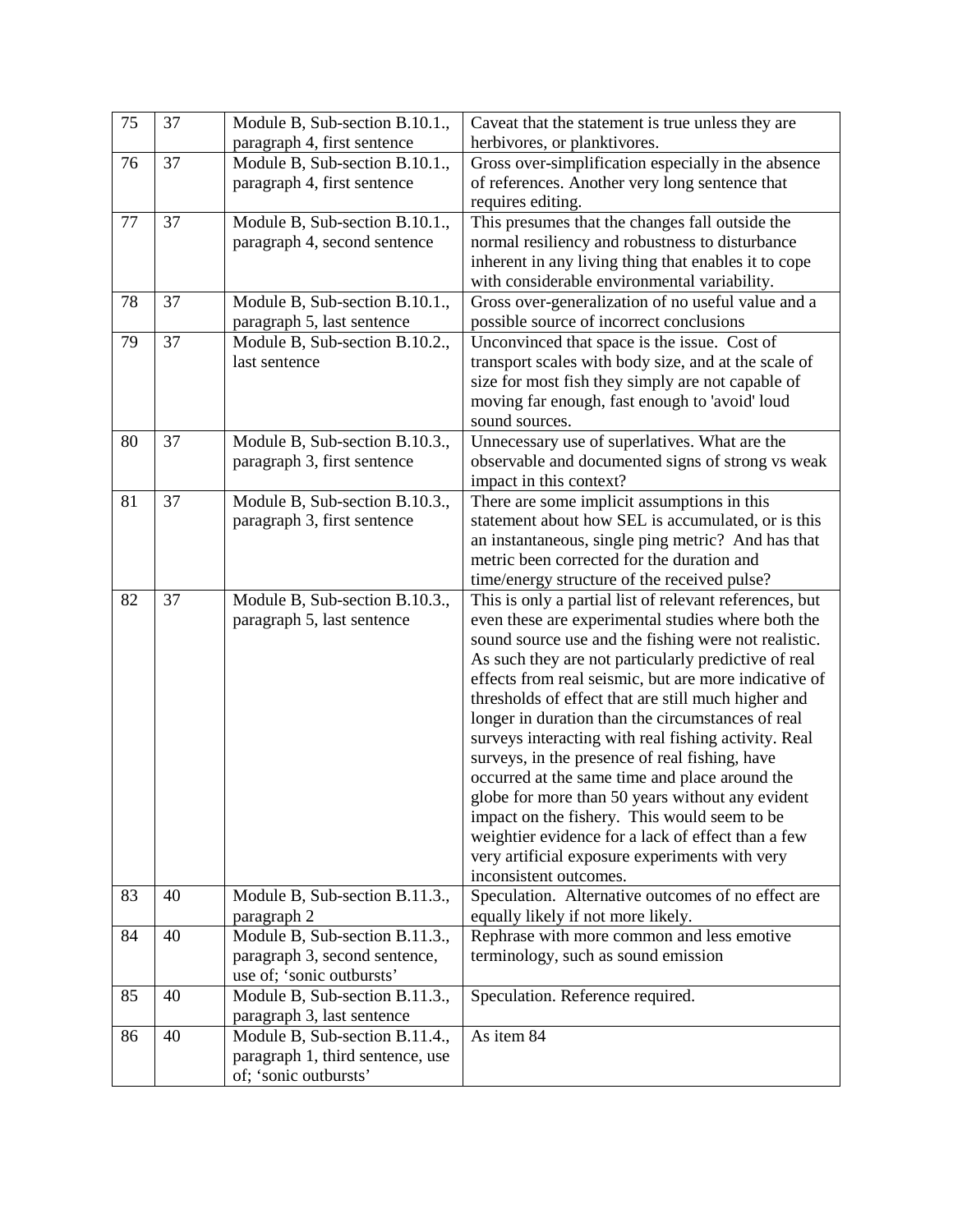| 75 | 37 | Module B, Sub-section B.10.1.,   | Caveat that the statement is true unless they are                                                  |
|----|----|----------------------------------|----------------------------------------------------------------------------------------------------|
|    |    | paragraph 4, first sentence      | herbivores, or planktivores.                                                                       |
| 76 | 37 | Module B, Sub-section B.10.1.,   | Gross over-simplification especially in the absence                                                |
|    |    | paragraph 4, first sentence      | of references. Another very long sentence that                                                     |
|    |    |                                  | requires editing.                                                                                  |
| 77 | 37 | Module B, Sub-section B.10.1.,   | This presumes that the changes fall outside the                                                    |
|    |    | paragraph 4, second sentence     | normal resiliency and robustness to disturbance                                                    |
|    |    |                                  | inherent in any living thing that enables it to cope                                               |
|    |    |                                  | with considerable environmental variability.                                                       |
| 78 | 37 | Module B, Sub-section B.10.1.,   | Gross over-generalization of no useful value and a                                                 |
|    |    | paragraph 5, last sentence       | possible source of incorrect conclusions                                                           |
| 79 | 37 | Module B, Sub-section B.10.2.,   | Unconvinced that space is the issue. Cost of                                                       |
|    |    | last sentence                    | transport scales with body size, and at the scale of                                               |
|    |    |                                  | size for most fish they simply are not capable of                                                  |
|    |    |                                  | moving far enough, fast enough to 'avoid' loud<br>sound sources.                                   |
| 80 | 37 | Module B, Sub-section B.10.3.,   | Unnecessary use of superlatives. What are the                                                      |
|    |    | paragraph 3, first sentence      | observable and documented signs of strong vs weak                                                  |
|    |    |                                  | impact in this context?                                                                            |
| 81 | 37 | Module B, Sub-section B.10.3.,   | There are some implicit assumptions in this                                                        |
|    |    | paragraph 3, first sentence      | statement about how SEL is accumulated, or is this                                                 |
|    |    |                                  | an instantaneous, single ping metric? And has that                                                 |
|    |    |                                  | metric been corrected for the duration and                                                         |
|    |    |                                  | time/energy structure of the received pulse?                                                       |
| 82 | 37 | Module B, Sub-section B.10.3.,   | This is only a partial list of relevant references, but                                            |
|    |    | paragraph 5, last sentence       | even these are experimental studies where both the                                                 |
|    |    |                                  | sound source use and the fishing were not realistic.                                               |
|    |    |                                  | As such they are not particularly predictive of real                                               |
|    |    |                                  | effects from real seismic, but are more indicative of                                              |
|    |    |                                  | thresholds of effect that are still much higher and                                                |
|    |    |                                  | longer in duration than the circumstances of real                                                  |
|    |    |                                  | surveys interacting with real fishing activity. Real                                               |
|    |    |                                  | surveys, in the presence of real fishing, have                                                     |
|    |    |                                  | occurred at the same time and place around the<br>globe for more than 50 years without any evident |
|    |    |                                  | impact on the fishery. This would seem to be                                                       |
|    |    |                                  | weightier evidence for a lack of effect than a few                                                 |
|    |    |                                  | very artificial exposure experiments with very                                                     |
|    |    |                                  | inconsistent outcomes.                                                                             |
| 83 | 40 | Module B, Sub-section B.11.3.,   | Speculation. Alternative outcomes of no effect are                                                 |
|    |    | paragraph 2                      | equally likely if not more likely.                                                                 |
| 84 | 40 | Module B, Sub-section B.11.3.,   | Rephrase with more common and less emotive                                                         |
|    |    | paragraph 3, second sentence,    | terminology, such as sound emission                                                                |
|    |    | use of; 'sonic outbursts'        |                                                                                                    |
| 85 | 40 | Module B, Sub-section B.11.3.,   | Speculation. Reference required.                                                                   |
|    |    | paragraph 3, last sentence       |                                                                                                    |
| 86 | 40 | Module B, Sub-section B.11.4.,   | As item 84                                                                                         |
|    |    | paragraph 1, third sentence, use |                                                                                                    |
|    |    | of; 'sonic outbursts'            |                                                                                                    |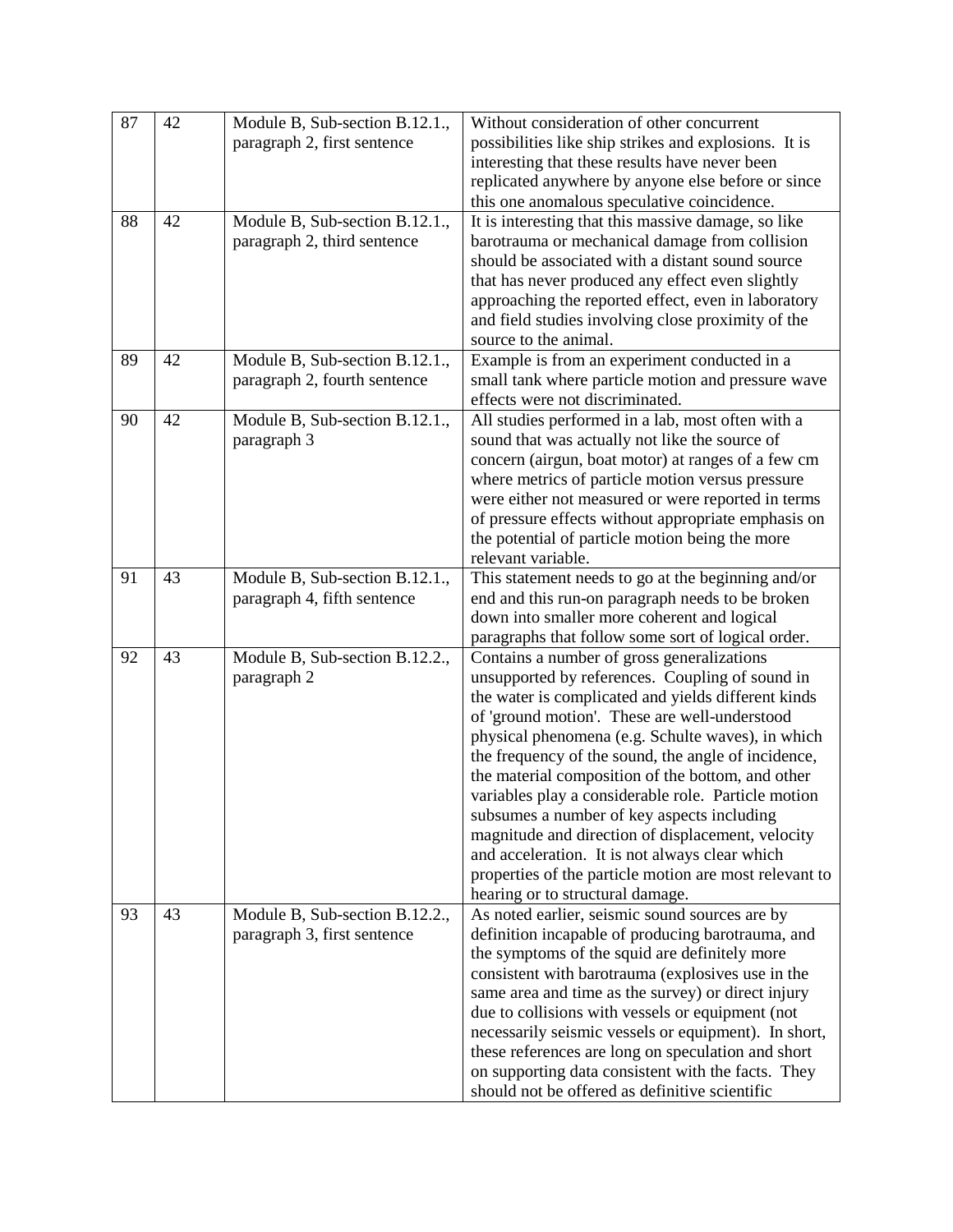| 87 | 42 | Module B, Sub-section B.12.1.,<br>paragraph 2, first sentence  | Without consideration of other concurrent<br>possibilities like ship strikes and explosions. It is<br>interesting that these results have never been<br>replicated anywhere by anyone else before or since<br>this one anomalous speculative coincidence.                                                                                                                                                                                                                                                                                                                                                                                                                        |
|----|----|----------------------------------------------------------------|----------------------------------------------------------------------------------------------------------------------------------------------------------------------------------------------------------------------------------------------------------------------------------------------------------------------------------------------------------------------------------------------------------------------------------------------------------------------------------------------------------------------------------------------------------------------------------------------------------------------------------------------------------------------------------|
| 88 | 42 | Module B, Sub-section B.12.1.,<br>paragraph 2, third sentence  | It is interesting that this massive damage, so like<br>barotrauma or mechanical damage from collision<br>should be associated with a distant sound source<br>that has never produced any effect even slightly<br>approaching the reported effect, even in laboratory<br>and field studies involving close proximity of the<br>source to the animal.                                                                                                                                                                                                                                                                                                                              |
| 89 | 42 | Module B, Sub-section B.12.1.,<br>paragraph 2, fourth sentence | Example is from an experiment conducted in a<br>small tank where particle motion and pressure wave<br>effects were not discriminated.                                                                                                                                                                                                                                                                                                                                                                                                                                                                                                                                            |
| 90 | 42 | Module B, Sub-section B.12.1.,<br>paragraph 3                  | All studies performed in a lab, most often with a<br>sound that was actually not like the source of<br>concern (airgun, boat motor) at ranges of a few cm<br>where metrics of particle motion versus pressure<br>were either not measured or were reported in terms<br>of pressure effects without appropriate emphasis on<br>the potential of particle motion being the more<br>relevant variable.                                                                                                                                                                                                                                                                              |
| 91 | 43 | Module B, Sub-section B.12.1.,<br>paragraph 4, fifth sentence  | This statement needs to go at the beginning and/or<br>end and this run-on paragraph needs to be broken<br>down into smaller more coherent and logical<br>paragraphs that follow some sort of logical order.                                                                                                                                                                                                                                                                                                                                                                                                                                                                      |
| 92 | 43 | Module B, Sub-section B.12.2.,<br>paragraph 2                  | Contains a number of gross generalizations<br>unsupported by references. Coupling of sound in<br>the water is complicated and yields different kinds<br>of 'ground motion'. These are well-understood<br>physical phenomena (e.g. Schulte waves), in which<br>the frequency of the sound, the angle of incidence,<br>the material composition of the bottom, and other<br>variables play a considerable role. Particle motion<br>subsumes a number of key aspects including<br>magnitude and direction of displacement, velocity<br>and acceleration. It is not always clear which<br>properties of the particle motion are most relevant to<br>hearing or to structural damage. |
| 93 | 43 | Module B, Sub-section B.12.2.,<br>paragraph 3, first sentence  | As noted earlier, seismic sound sources are by<br>definition incapable of producing barotrauma, and<br>the symptoms of the squid are definitely more<br>consistent with barotrauma (explosives use in the<br>same area and time as the survey) or direct injury<br>due to collisions with vessels or equipment (not<br>necessarily seismic vessels or equipment). In short,<br>these references are long on speculation and short<br>on supporting data consistent with the facts. They<br>should not be offered as definitive scientific                                                                                                                                        |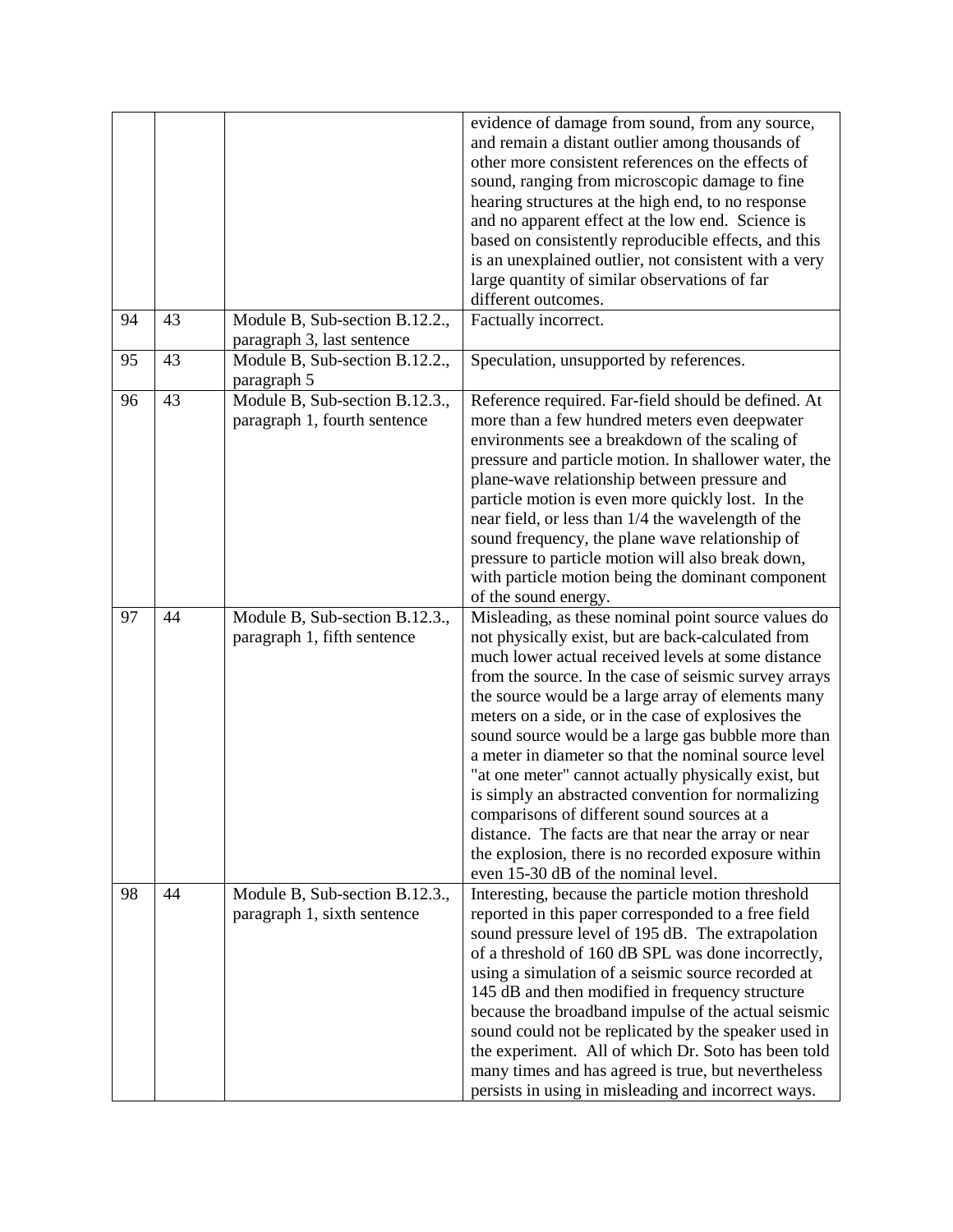|    |    |                                                                | evidence of damage from sound, from any source,<br>and remain a distant outlier among thousands of<br>other more consistent references on the effects of<br>sound, ranging from microscopic damage to fine<br>hearing structures at the high end, to no response<br>and no apparent effect at the low end. Science is<br>based on consistently reproducible effects, and this<br>is an unexplained outlier, not consistent with a very<br>large quantity of similar observations of far<br>different outcomes.                                                                                                                                                                                                                                                       |
|----|----|----------------------------------------------------------------|----------------------------------------------------------------------------------------------------------------------------------------------------------------------------------------------------------------------------------------------------------------------------------------------------------------------------------------------------------------------------------------------------------------------------------------------------------------------------------------------------------------------------------------------------------------------------------------------------------------------------------------------------------------------------------------------------------------------------------------------------------------------|
| 94 | 43 | Module B, Sub-section B.12.2.,<br>paragraph 3, last sentence   | Factually incorrect.                                                                                                                                                                                                                                                                                                                                                                                                                                                                                                                                                                                                                                                                                                                                                 |
| 95 | 43 | Module B, Sub-section B.12.2.,<br>paragraph 5                  | Speculation, unsupported by references.                                                                                                                                                                                                                                                                                                                                                                                                                                                                                                                                                                                                                                                                                                                              |
| 96 | 43 | Module B, Sub-section B.12.3.,<br>paragraph 1, fourth sentence | Reference required. Far-field should be defined. At<br>more than a few hundred meters even deepwater<br>environments see a breakdown of the scaling of<br>pressure and particle motion. In shallower water, the<br>plane-wave relationship between pressure and<br>particle motion is even more quickly lost. In the<br>near field, or less than 1/4 the wavelength of the<br>sound frequency, the plane wave relationship of<br>pressure to particle motion will also break down,<br>with particle motion being the dominant component<br>of the sound energy.                                                                                                                                                                                                      |
| 97 | 44 | Module B, Sub-section B.12.3.,<br>paragraph 1, fifth sentence  | Misleading, as these nominal point source values do<br>not physically exist, but are back-calculated from<br>much lower actual received levels at some distance<br>from the source. In the case of seismic survey arrays<br>the source would be a large array of elements many<br>meters on a side, or in the case of explosives the<br>sound source would be a large gas bubble more than<br>a meter in diameter so that the nominal source level<br>"at one meter" cannot actually physically exist, but<br>is simply an abstracted convention for normalizing<br>comparisons of different sound sources at a<br>distance. The facts are that near the array or near<br>the explosion, there is no recorded exposure within<br>even 15-30 dB of the nominal level. |
| 98 | 44 | Module B, Sub-section B.12.3.,<br>paragraph 1, sixth sentence  | Interesting, because the particle motion threshold<br>reported in this paper corresponded to a free field<br>sound pressure level of 195 dB. The extrapolation<br>of a threshold of 160 dB SPL was done incorrectly,<br>using a simulation of a seismic source recorded at<br>145 dB and then modified in frequency structure<br>because the broadband impulse of the actual seismic<br>sound could not be replicated by the speaker used in<br>the experiment. All of which Dr. Soto has been told<br>many times and has agreed is true, but nevertheless<br>persists in using in misleading and incorrect ways.                                                                                                                                                    |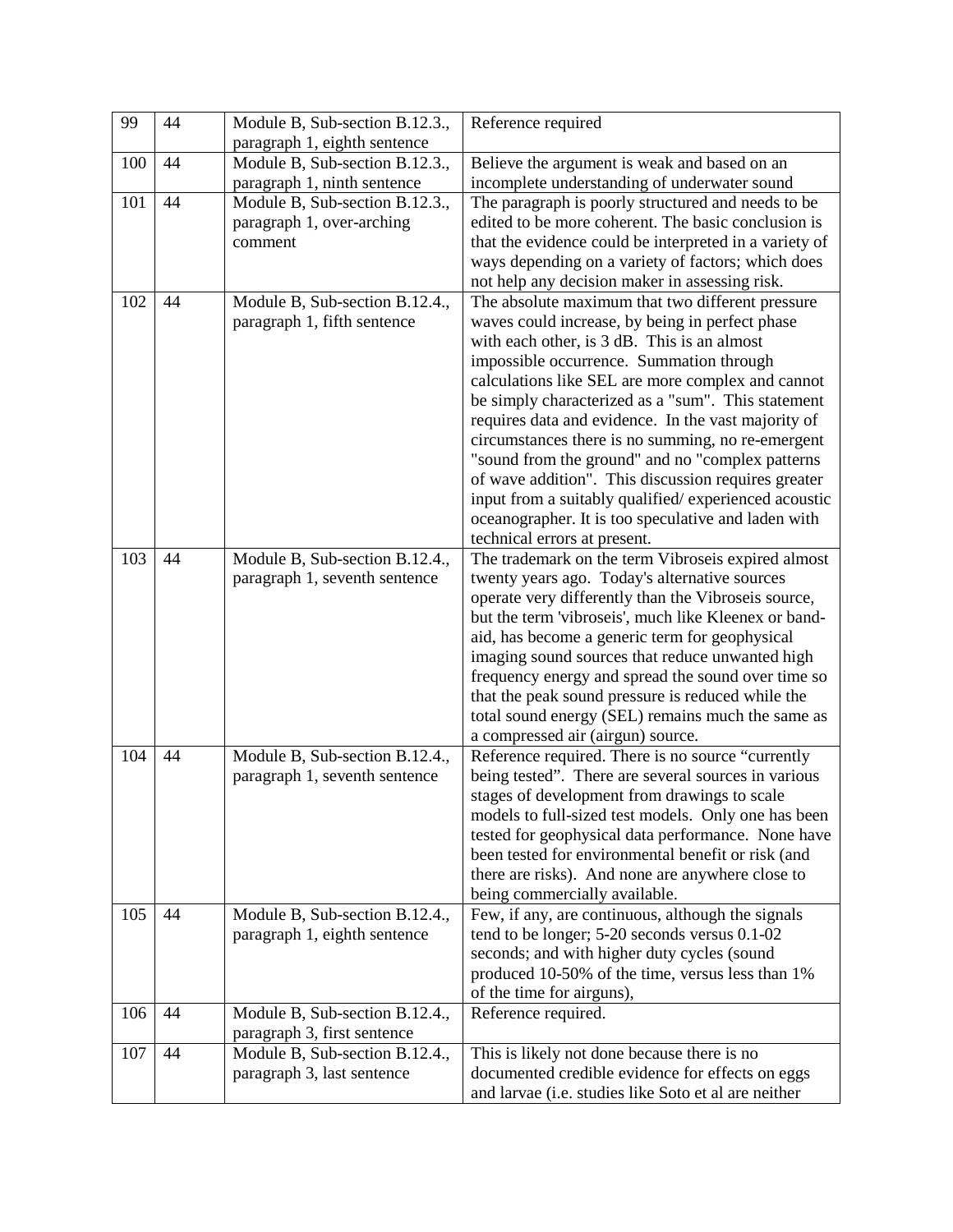| 99  | 44 | Module B, Sub-section B.12.3.,                                | Reference required                                                                                          |
|-----|----|---------------------------------------------------------------|-------------------------------------------------------------------------------------------------------------|
|     |    | paragraph 1, eighth sentence                                  |                                                                                                             |
| 100 | 44 | Module B, Sub-section B.12.3.,                                | Believe the argument is weak and based on an                                                                |
|     |    | paragraph 1, ninth sentence                                   | incomplete understanding of underwater sound                                                                |
| 101 | 44 | Module B, Sub-section B.12.3.,                                | The paragraph is poorly structured and needs to be                                                          |
|     |    | paragraph 1, over-arching                                     | edited to be more coherent. The basic conclusion is                                                         |
|     |    | comment                                                       | that the evidence could be interpreted in a variety of                                                      |
|     |    |                                                               | ways depending on a variety of factors; which does                                                          |
|     |    |                                                               | not help any decision maker in assessing risk.                                                              |
| 102 | 44 | Module B, Sub-section B.12.4.,                                | The absolute maximum that two different pressure                                                            |
|     |    | paragraph 1, fifth sentence                                   | waves could increase, by being in perfect phase                                                             |
|     |    |                                                               | with each other, is 3 dB. This is an almost                                                                 |
|     |    |                                                               | impossible occurrence. Summation through                                                                    |
|     |    |                                                               | calculations like SEL are more complex and cannot                                                           |
|     |    |                                                               | be simply characterized as a "sum". This statement                                                          |
|     |    |                                                               | requires data and evidence. In the vast majority of                                                         |
|     |    |                                                               | circumstances there is no summing, no re-emergent                                                           |
|     |    |                                                               | "sound from the ground" and no "complex patterns                                                            |
|     |    |                                                               | of wave addition". This discussion requires greater<br>input from a suitably qualified/experienced acoustic |
|     |    |                                                               | oceanographer. It is too speculative and laden with                                                         |
|     |    |                                                               | technical errors at present.                                                                                |
| 103 | 44 | Module B, Sub-section B.12.4.,                                | The trademark on the term Vibroseis expired almost                                                          |
|     |    | paragraph 1, seventh sentence                                 | twenty years ago. Today's alternative sources                                                               |
|     |    |                                                               | operate very differently than the Vibroseis source,                                                         |
|     |    |                                                               | but the term 'vibroseis', much like Kleenex or band-                                                        |
|     |    |                                                               | aid, has become a generic term for geophysical                                                              |
|     |    |                                                               | imaging sound sources that reduce unwanted high                                                             |
|     |    |                                                               | frequency energy and spread the sound over time so                                                          |
|     |    |                                                               | that the peak sound pressure is reduced while the                                                           |
|     |    |                                                               | total sound energy (SEL) remains much the same as                                                           |
|     |    |                                                               | a compressed air (airgun) source.                                                                           |
| 104 | 44 | Module B, Sub-section B.12.4.,                                | Reference required. There is no source "currently                                                           |
|     |    | paragraph 1, seventh sentence                                 | being tested". There are several sources in various                                                         |
|     |    |                                                               | stages of development from drawings to scale                                                                |
|     |    |                                                               | models to full-sized test models. Only one has been                                                         |
|     |    |                                                               | tested for geophysical data performance. None have                                                          |
|     |    |                                                               | been tested for environmental benefit or risk (and                                                          |
|     |    |                                                               | there are risks). And none are anywhere close to                                                            |
|     |    |                                                               | being commercially available.                                                                               |
| 105 | 44 | Module B, Sub-section B.12.4.,                                | Few, if any, are continuous, although the signals                                                           |
|     |    | paragraph 1, eighth sentence                                  | tend to be longer; 5-20 seconds versus 0.1-02                                                               |
|     |    |                                                               | seconds; and with higher duty cycles (sound                                                                 |
|     |    |                                                               | produced 10-50% of the time, versus less than 1%                                                            |
|     | 44 |                                                               | of the time for airguns),                                                                                   |
| 106 |    | Module B, Sub-section B.12.4.,                                | Reference required.                                                                                         |
| 107 | 44 | paragraph 3, first sentence<br>Module B, Sub-section B.12.4., | This is likely not done because there is no                                                                 |
|     |    | paragraph 3, last sentence                                    | documented credible evidence for effects on eggs                                                            |
|     |    |                                                               | and larvae (i.e. studies like Soto et al are neither                                                        |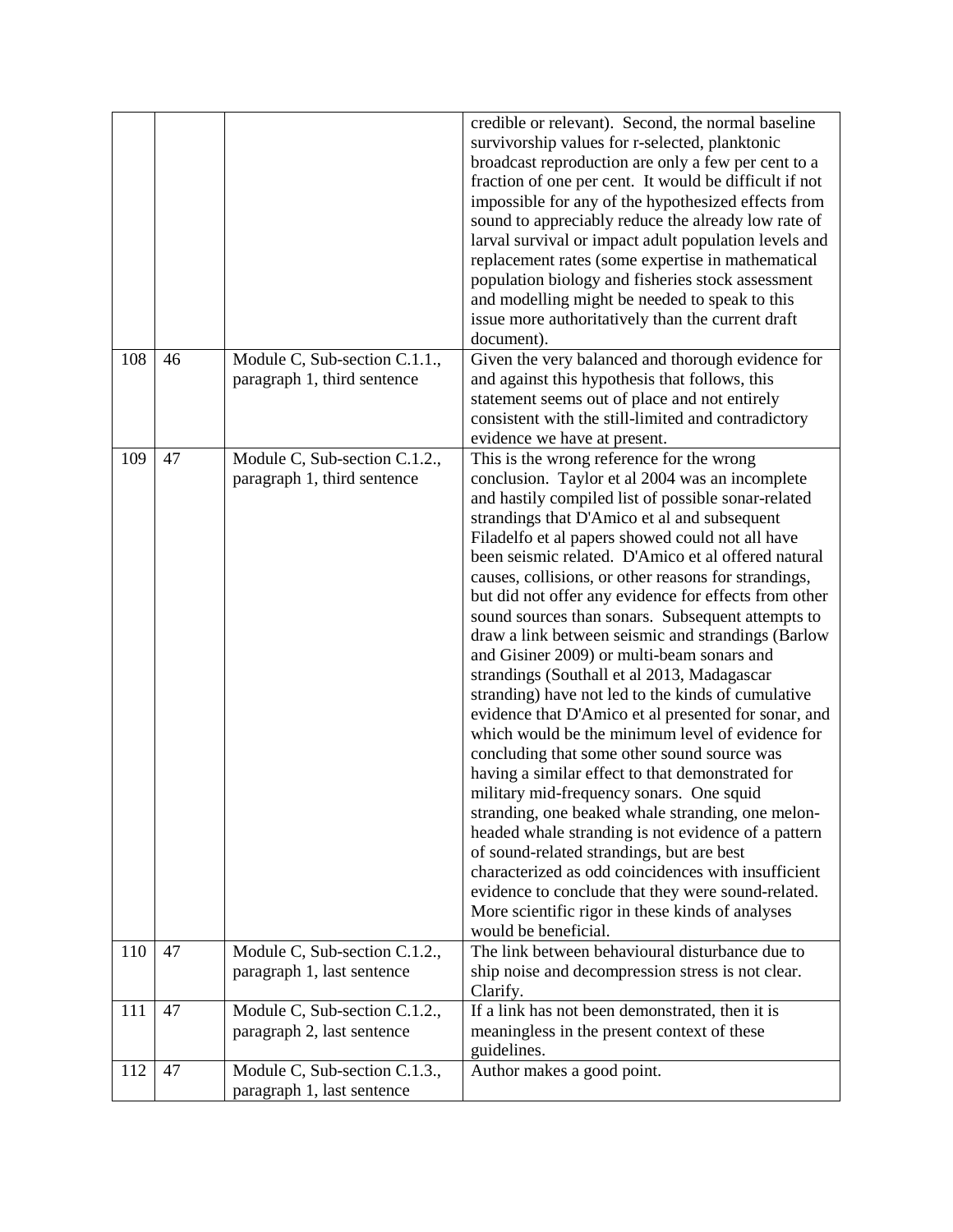|            |          |                                                                                               | credible or relevant). Second, the normal baseline<br>survivorship values for r-selected, planktonic<br>broadcast reproduction are only a few per cent to a<br>fraction of one per cent. It would be difficult if not<br>impossible for any of the hypothesized effects from<br>sound to appreciably reduce the already low rate of<br>larval survival or impact adult population levels and<br>replacement rates (some expertise in mathematical<br>population biology and fisheries stock assessment<br>and modelling might be needed to speak to this<br>issue more authoritatively than the current draft<br>document).                                                                                                                                                                                                                                                                                                                                                                                                                                                                                                                                                                                                                                                                                                                                   |
|------------|----------|-----------------------------------------------------------------------------------------------|---------------------------------------------------------------------------------------------------------------------------------------------------------------------------------------------------------------------------------------------------------------------------------------------------------------------------------------------------------------------------------------------------------------------------------------------------------------------------------------------------------------------------------------------------------------------------------------------------------------------------------------------------------------------------------------------------------------------------------------------------------------------------------------------------------------------------------------------------------------------------------------------------------------------------------------------------------------------------------------------------------------------------------------------------------------------------------------------------------------------------------------------------------------------------------------------------------------------------------------------------------------------------------------------------------------------------------------------------------------|
| 108        | 46       | Module C, Sub-section C.1.1.,<br>paragraph 1, third sentence                                  | Given the very balanced and thorough evidence for<br>and against this hypothesis that follows, this<br>statement seems out of place and not entirely<br>consistent with the still-limited and contradictory<br>evidence we have at present.                                                                                                                                                                                                                                                                                                                                                                                                                                                                                                                                                                                                                                                                                                                                                                                                                                                                                                                                                                                                                                                                                                                   |
| 109<br>110 | 47<br>47 | Module C, Sub-section C.1.2.,<br>paragraph 1, third sentence<br>Module C, Sub-section C.1.2., | This is the wrong reference for the wrong<br>conclusion. Taylor et al 2004 was an incomplete<br>and hastily compiled list of possible sonar-related<br>strandings that D'Amico et al and subsequent<br>Filadelfo et al papers showed could not all have<br>been seismic related. D'Amico et al offered natural<br>causes, collisions, or other reasons for strandings,<br>but did not offer any evidence for effects from other<br>sound sources than sonars. Subsequent attempts to<br>draw a link between seismic and strandings (Barlow<br>and Gisiner 2009) or multi-beam sonars and<br>strandings (Southall et al 2013, Madagascar<br>stranding) have not led to the kinds of cumulative<br>evidence that D'Amico et al presented for sonar, and<br>which would be the minimum level of evidence for<br>concluding that some other sound source was<br>having a similar effect to that demonstrated for<br>military mid-frequency sonars. One squid<br>stranding, one beaked whale stranding, one melon-<br>headed whale stranding is not evidence of a pattern<br>of sound-related strandings, but are best<br>characterized as odd coincidences with insufficient<br>evidence to conclude that they were sound-related.<br>More scientific rigor in these kinds of analyses<br>would be beneficial.<br>The link between behavioural disturbance due to |
|            |          | paragraph 1, last sentence                                                                    | ship noise and decompression stress is not clear.<br>Clarify.                                                                                                                                                                                                                                                                                                                                                                                                                                                                                                                                                                                                                                                                                                                                                                                                                                                                                                                                                                                                                                                                                                                                                                                                                                                                                                 |
| 111        | 47       | Module C, Sub-section C.1.2.,<br>paragraph 2, last sentence                                   | If a link has not been demonstrated, then it is<br>meaningless in the present context of these<br>guidelines.                                                                                                                                                                                                                                                                                                                                                                                                                                                                                                                                                                                                                                                                                                                                                                                                                                                                                                                                                                                                                                                                                                                                                                                                                                                 |
| 112        | 47       | Module C, Sub-section C.1.3.,<br>paragraph 1, last sentence                                   | Author makes a good point.                                                                                                                                                                                                                                                                                                                                                                                                                                                                                                                                                                                                                                                                                                                                                                                                                                                                                                                                                                                                                                                                                                                                                                                                                                                                                                                                    |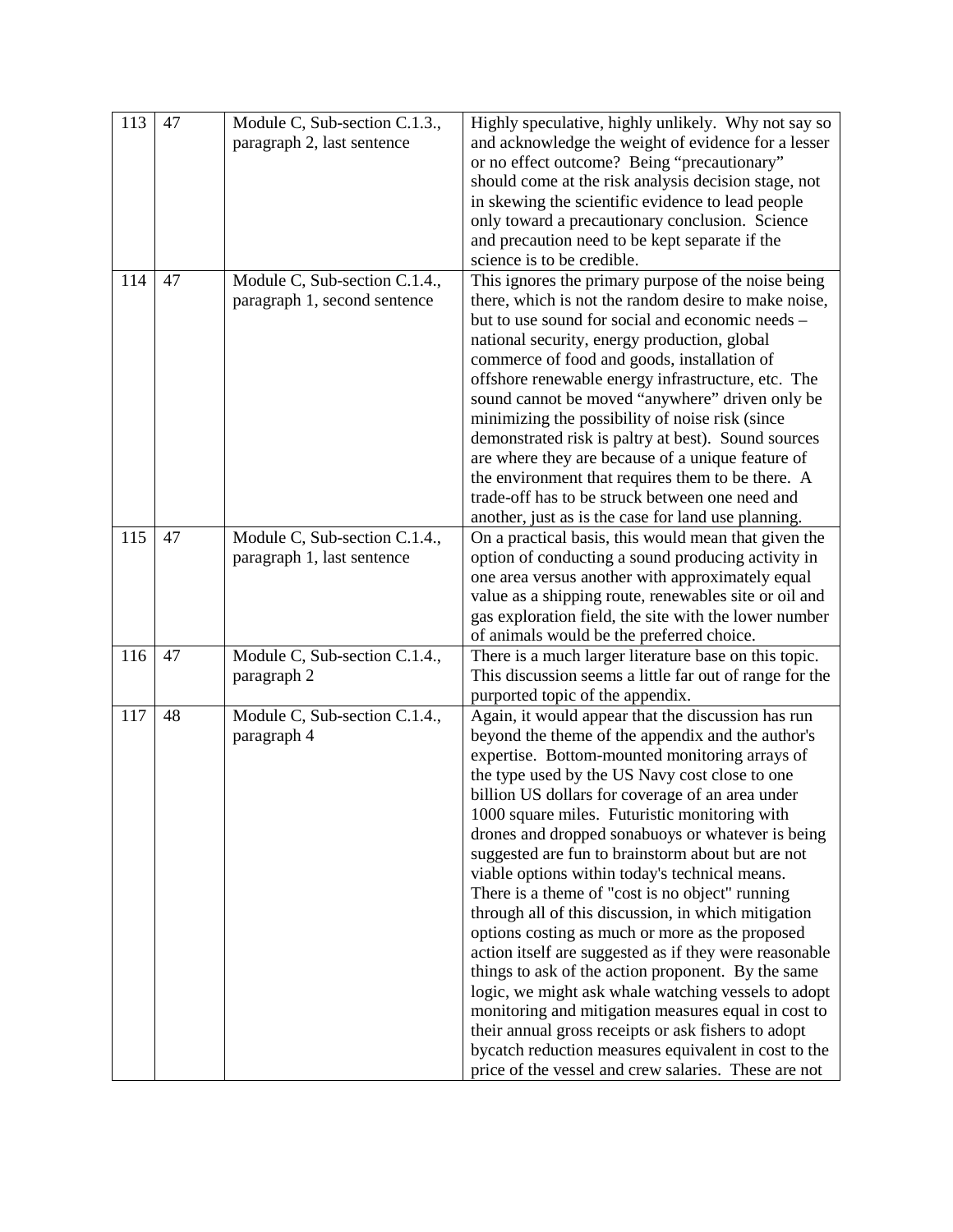| 113 | 47 | Module C, Sub-section C.1.3., | Highly speculative, highly unlikely. Why not say so                                                     |
|-----|----|-------------------------------|---------------------------------------------------------------------------------------------------------|
|     |    | paragraph 2, last sentence    | and acknowledge the weight of evidence for a lesser                                                     |
|     |    |                               | or no effect outcome? Being "precautionary"                                                             |
|     |    |                               | should come at the risk analysis decision stage, not                                                    |
|     |    |                               | in skewing the scientific evidence to lead people                                                       |
|     |    |                               | only toward a precautionary conclusion. Science                                                         |
|     |    |                               | and precaution need to be kept separate if the                                                          |
|     |    |                               | science is to be credible.                                                                              |
| 114 | 47 | Module C, Sub-section C.1.4., | This ignores the primary purpose of the noise being                                                     |
|     |    | paragraph 1, second sentence  | there, which is not the random desire to make noise,                                                    |
|     |    |                               | but to use sound for social and economic needs -                                                        |
|     |    |                               | national security, energy production, global                                                            |
|     |    |                               | commerce of food and goods, installation of                                                             |
|     |    |                               | offshore renewable energy infrastructure, etc. The                                                      |
|     |    |                               | sound cannot be moved "anywhere" driven only be                                                         |
|     |    |                               | minimizing the possibility of noise risk (since                                                         |
|     |    |                               | demonstrated risk is paltry at best). Sound sources                                                     |
|     |    |                               | are where they are because of a unique feature of                                                       |
|     |    |                               | the environment that requires them to be there. A                                                       |
|     |    |                               | trade-off has to be struck between one need and                                                         |
|     |    |                               | another, just as is the case for land use planning.                                                     |
| 115 | 47 | Module C, Sub-section C.1.4., | On a practical basis, this would mean that given the                                                    |
|     |    | paragraph 1, last sentence    | option of conducting a sound producing activity in                                                      |
|     |    |                               | one area versus another with approximately equal                                                        |
|     |    |                               | value as a shipping route, renewables site or oil and                                                   |
|     |    |                               | gas exploration field, the site with the lower number                                                   |
|     |    |                               | of animals would be the preferred choice.                                                               |
| 116 | 47 | Module C, Sub-section C.1.4., | There is a much larger literature base on this topic.                                                   |
|     |    | paragraph 2                   | This discussion seems a little far out of range for the                                                 |
| 117 | 48 |                               | purported topic of the appendix.                                                                        |
|     |    | Module C, Sub-section C.1.4., | Again, it would appear that the discussion has run<br>beyond the theme of the appendix and the author's |
|     |    | paragraph 4                   | expertise. Bottom-mounted monitoring arrays of                                                          |
|     |    |                               | the type used by the US Navy cost close to one                                                          |
|     |    |                               | billion US dollars for coverage of an area under                                                        |
|     |    |                               | 1000 square miles. Futuristic monitoring with                                                           |
|     |    |                               | drones and dropped sonabuoys or whatever is being                                                       |
|     |    |                               | suggested are fun to brainstorm about but are not                                                       |
|     |    |                               | viable options within today's technical means.                                                          |
|     |    |                               | There is a theme of "cost is no object" running                                                         |
|     |    |                               | through all of this discussion, in which mitigation                                                     |
|     |    |                               | options costing as much or more as the proposed                                                         |
|     |    |                               | action itself are suggested as if they were reasonable                                                  |
|     |    |                               | things to ask of the action proponent. By the same                                                      |
|     |    |                               | logic, we might ask whale watching vessels to adopt                                                     |
|     |    |                               | monitoring and mitigation measures equal in cost to                                                     |
|     |    |                               | their annual gross receipts or ask fishers to adopt                                                     |
|     |    |                               | bycatch reduction measures equivalent in cost to the                                                    |
|     |    |                               | price of the vessel and crew salaries. These are not                                                    |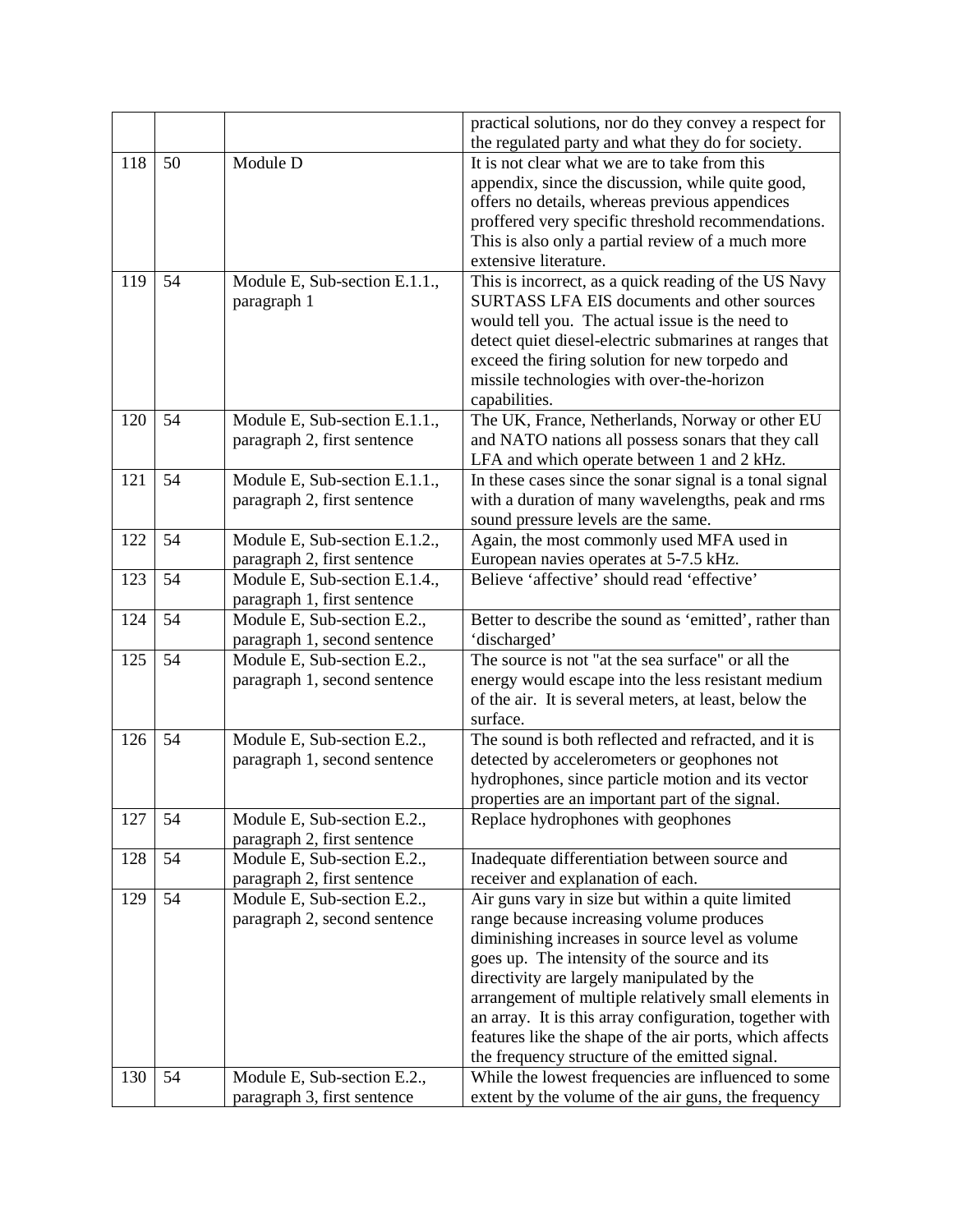|     |    |                                                              | practical solutions, nor do they convey a respect for<br>the regulated party and what they do for society.                                                                                                                                                                                                                                                                                                                                                                    |
|-----|----|--------------------------------------------------------------|-------------------------------------------------------------------------------------------------------------------------------------------------------------------------------------------------------------------------------------------------------------------------------------------------------------------------------------------------------------------------------------------------------------------------------------------------------------------------------|
| 118 | 50 | Module D                                                     | It is not clear what we are to take from this<br>appendix, since the discussion, while quite good,<br>offers no details, whereas previous appendices<br>proffered very specific threshold recommendations.<br>This is also only a partial review of a much more<br>extensive literature.                                                                                                                                                                                      |
| 119 | 54 | Module E, Sub-section E.1.1.,<br>paragraph 1                 | This is incorrect, as a quick reading of the US Navy<br>SURTASS LFA EIS documents and other sources<br>would tell you. The actual issue is the need to<br>detect quiet diesel-electric submarines at ranges that<br>exceed the firing solution for new torpedo and<br>missile technologies with over-the-horizon<br>capabilities.                                                                                                                                             |
| 120 | 54 | Module E, Sub-section E.1.1.,<br>paragraph 2, first sentence | The UK, France, Netherlands, Norway or other EU<br>and NATO nations all possess sonars that they call<br>LFA and which operate between 1 and 2 kHz.                                                                                                                                                                                                                                                                                                                           |
| 121 | 54 | Module E, Sub-section E.1.1.,<br>paragraph 2, first sentence | In these cases since the sonar signal is a tonal signal<br>with a duration of many wavelengths, peak and rms<br>sound pressure levels are the same.                                                                                                                                                                                                                                                                                                                           |
| 122 | 54 | Module E, Sub-section E.1.2.,<br>paragraph 2, first sentence | Again, the most commonly used MFA used in<br>European navies operates at 5-7.5 kHz.                                                                                                                                                                                                                                                                                                                                                                                           |
| 123 | 54 | Module E, Sub-section E.1.4.,<br>paragraph 1, first sentence | Believe 'affective' should read 'effective'                                                                                                                                                                                                                                                                                                                                                                                                                                   |
| 124 | 54 | Module E, Sub-section E.2.,<br>paragraph 1, second sentence  | Better to describe the sound as 'emitted', rather than<br>'discharged'                                                                                                                                                                                                                                                                                                                                                                                                        |
| 125 | 54 | Module E, Sub-section E.2.,<br>paragraph 1, second sentence  | The source is not "at the sea surface" or all the<br>energy would escape into the less resistant medium<br>of the air. It is several meters, at least, below the<br>surface.                                                                                                                                                                                                                                                                                                  |
| 126 | 54 | Module E, Sub-section E.2.,<br>paragraph 1, second sentence  | The sound is both reflected and refracted, and it is<br>detected by accelerometers or geophones not<br>hydrophones, since particle motion and its vector<br>properties are an important part of the signal.                                                                                                                                                                                                                                                                   |
| 127 | 54 | Module E, Sub-section E.2.,<br>paragraph 2, first sentence   | Replace hydrophones with geophones                                                                                                                                                                                                                                                                                                                                                                                                                                            |
| 128 | 54 | Module E, Sub-section E.2.,<br>paragraph 2, first sentence   | Inadequate differentiation between source and<br>receiver and explanation of each.                                                                                                                                                                                                                                                                                                                                                                                            |
| 129 | 54 | Module E, Sub-section E.2.,<br>paragraph 2, second sentence  | Air guns vary in size but within a quite limited<br>range because increasing volume produces<br>diminishing increases in source level as volume<br>goes up. The intensity of the source and its<br>directivity are largely manipulated by the<br>arrangement of multiple relatively small elements in<br>an array. It is this array configuration, together with<br>features like the shape of the air ports, which affects<br>the frequency structure of the emitted signal. |
| 130 | 54 | Module E, Sub-section E.2.,<br>paragraph 3, first sentence   | While the lowest frequencies are influenced to some<br>extent by the volume of the air guns, the frequency                                                                                                                                                                                                                                                                                                                                                                    |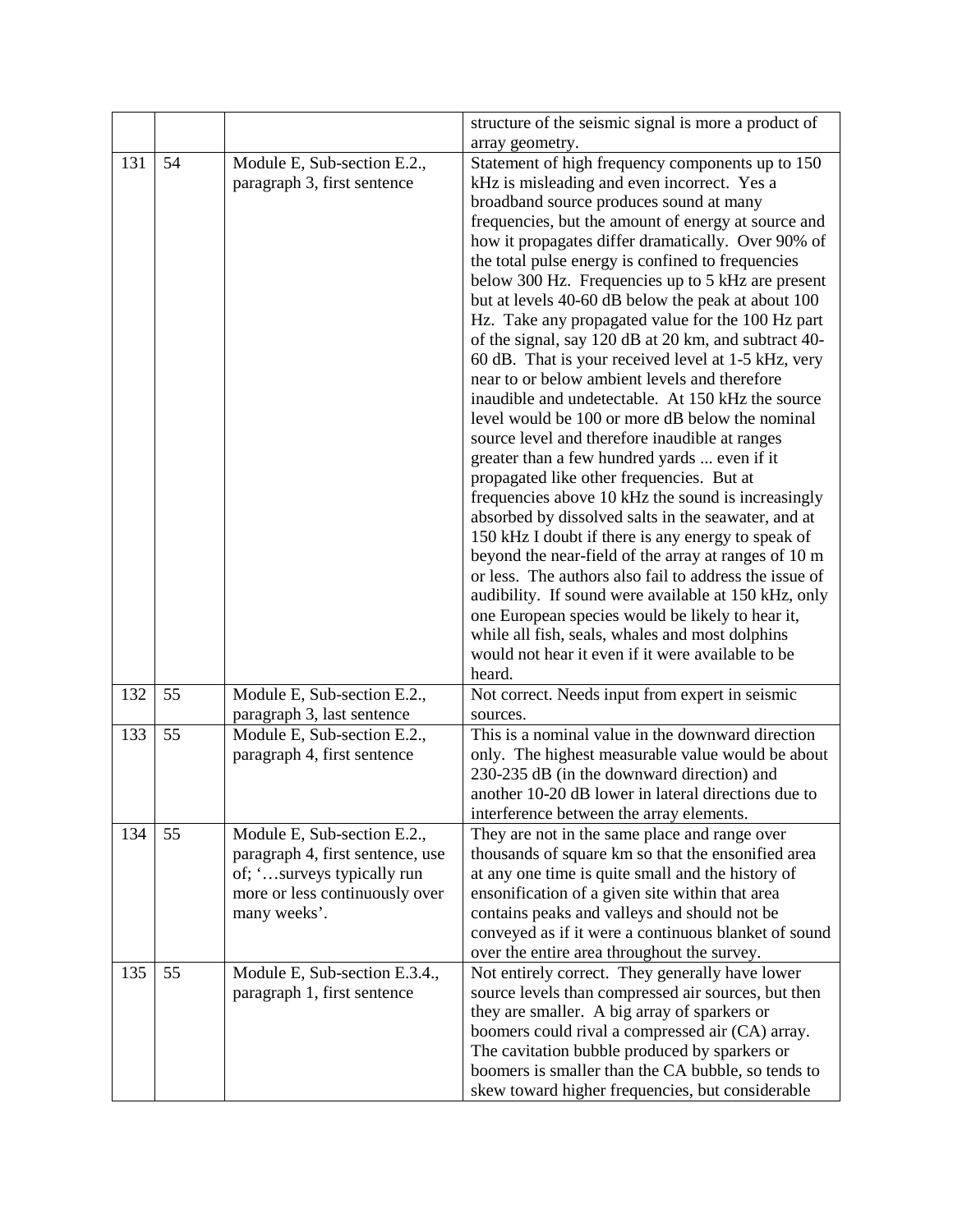|     |    |                                                                                                                                                 | structure of the seismic signal is more a product of                                                                                                                                                                                                                                                                                                                                                                                                                                                                                                                                                                                                                                                                                                                                                                                                                                                                                                                                                                                                                                                                                                                                                                                                                                                                                                                                                                   |
|-----|----|-------------------------------------------------------------------------------------------------------------------------------------------------|------------------------------------------------------------------------------------------------------------------------------------------------------------------------------------------------------------------------------------------------------------------------------------------------------------------------------------------------------------------------------------------------------------------------------------------------------------------------------------------------------------------------------------------------------------------------------------------------------------------------------------------------------------------------------------------------------------------------------------------------------------------------------------------------------------------------------------------------------------------------------------------------------------------------------------------------------------------------------------------------------------------------------------------------------------------------------------------------------------------------------------------------------------------------------------------------------------------------------------------------------------------------------------------------------------------------------------------------------------------------------------------------------------------------|
|     |    |                                                                                                                                                 | array geometry.                                                                                                                                                                                                                                                                                                                                                                                                                                                                                                                                                                                                                                                                                                                                                                                                                                                                                                                                                                                                                                                                                                                                                                                                                                                                                                                                                                                                        |
| 131 | 54 | Module E, Sub-section E.2.,<br>paragraph 3, first sentence                                                                                      | Statement of high frequency components up to 150<br>kHz is misleading and even incorrect. Yes a<br>broadband source produces sound at many<br>frequencies, but the amount of energy at source and<br>how it propagates differ dramatically. Over 90% of<br>the total pulse energy is confined to frequencies<br>below 300 Hz. Frequencies up to 5 kHz are present<br>but at levels 40-60 dB below the peak at about 100<br>Hz. Take any propagated value for the 100 Hz part<br>of the signal, say 120 dB at 20 km, and subtract 40-<br>60 dB. That is your received level at 1-5 kHz, very<br>near to or below ambient levels and therefore<br>inaudible and undetectable. At 150 kHz the source<br>level would be 100 or more dB below the nominal<br>source level and therefore inaudible at ranges<br>greater than a few hundred yards  even if it<br>propagated like other frequencies. But at<br>frequencies above 10 kHz the sound is increasingly<br>absorbed by dissolved salts in the seawater, and at<br>150 kHz I doubt if there is any energy to speak of<br>beyond the near-field of the array at ranges of 10 m<br>or less. The authors also fail to address the issue of<br>audibility. If sound were available at 150 kHz, only<br>one European species would be likely to hear it,<br>while all fish, seals, whales and most dolphins<br>would not hear it even if it were available to be<br>heard. |
| 132 | 55 | Module E, Sub-section E.2.,<br>paragraph 3, last sentence                                                                                       | Not correct. Needs input from expert in seismic<br>sources.                                                                                                                                                                                                                                                                                                                                                                                                                                                                                                                                                                                                                                                                                                                                                                                                                                                                                                                                                                                                                                                                                                                                                                                                                                                                                                                                                            |
| 133 | 55 | Module E, Sub-section E.2.,<br>paragraph 4, first sentence                                                                                      | This is a nominal value in the downward direction<br>only. The highest measurable value would be about<br>230-235 dB (in the downward direction) and<br>another 10-20 dB lower in lateral directions due to<br>interference between the array elements.                                                                                                                                                                                                                                                                                                                                                                                                                                                                                                                                                                                                                                                                                                                                                                                                                                                                                                                                                                                                                                                                                                                                                                |
| 134 | 55 | Module E, Sub-section E.2.,<br>paragraph 4, first sentence, use<br>of; 'surveys typically run<br>more or less continuously over<br>many weeks'. | They are not in the same place and range over<br>thousands of square km so that the ensonified area<br>at any one time is quite small and the history of<br>ensonification of a given site within that area<br>contains peaks and valleys and should not be<br>conveyed as if it were a continuous blanket of sound<br>over the entire area throughout the survey.                                                                                                                                                                                                                                                                                                                                                                                                                                                                                                                                                                                                                                                                                                                                                                                                                                                                                                                                                                                                                                                     |
| 135 | 55 | Module E, Sub-section E.3.4.,<br>paragraph 1, first sentence                                                                                    | Not entirely correct. They generally have lower<br>source levels than compressed air sources, but then<br>they are smaller. A big array of sparkers or<br>boomers could rival a compressed air (CA) array.<br>The cavitation bubble produced by sparkers or<br>boomers is smaller than the CA bubble, so tends to<br>skew toward higher frequencies, but considerable                                                                                                                                                                                                                                                                                                                                                                                                                                                                                                                                                                                                                                                                                                                                                                                                                                                                                                                                                                                                                                                  |